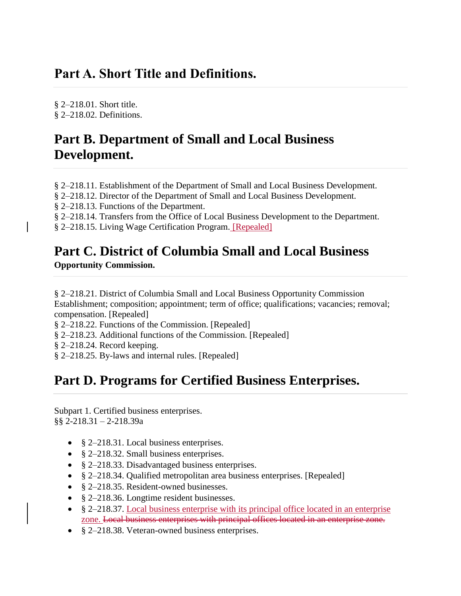### **Part A. Short Title and Definitions.**

§ [2–218.01.](https://code.dccouncil.us/dc/council/code/sections/2-218.01.html) Short title. § 2–218.02. [Definitions.](https://code.dccouncil.us/dc/council/code/sections/2-218.02.html)

## **Part B. Department of Small and Local Business Development.**

§ 2–218.11. [Establishment](https://code.dccouncil.us/dc/council/code/sections/2-218.11.html) of the Department of Small and Local Business Development.

§ 2–218.12. Director of the Department of Small and Local Business [Development.](https://code.dccouncil.us/dc/council/code/sections/2-218.12.html)

§ 2–218.13. Functions of the [Department.](https://code.dccouncil.us/dc/council/code/sections/2-218.13.html)

§ 2–218.14. Transfers from the Office of Local Business [Development](https://code.dccouncil.us/dc/council/code/sections/2-218.14.html) to the Department.

§ 2-218.15. Living Wage [Certification](https://code.dccouncil.us/dc/council/code/sections/2-218.15.html) Program. [Repealed]

# **Part C. District of Columbia Small and Local Business**

**Opportunity Commission.**

§ 2–218.21. District of Columbia Small and Local Business Opportunity [Commission](https://code.dccouncil.us/dc/council/code/sections/2-218.21.html) [Establishment;](https://code.dccouncil.us/dc/council/code/sections/2-218.21.html) composition; appointment; term of office; qualifications; vacancies; removal; [compensation.](https://code.dccouncil.us/dc/council/code/sections/2-218.21.html) [Repealed]

§ 2–218.22. Functions of the [Commission.](https://code.dccouncil.us/dc/council/code/sections/2-218.22.html) [Repealed]

§ 2–218.23. Additional functions of the [Commission.](https://code.dccouncil.us/dc/council/code/sections/2-218.23.html) [Repealed]

§ [2–218.24.](https://code.dccouncil.us/dc/council/code/sections/2-218.24.html) Record keeping.

§ 2–218.25. By-laws and internal rules. [\[Repealed\]](https://code.dccouncil.us/dc/council/code/sections/2-218.25.html)

## **Part D. Programs for Certified Business Enterprises.**

Subpart 1. Certified business [enterprises.](https://code.dccouncil.us/dc/council/code/titles/2/chapters/2/subchapters/IX-A/parts/D/subparts/1/) §§ 2-218.31 – 2-218.39a

- § 2–218.31. Local business [enterprises.](https://code.dccouncil.us/dc/council/code/sections/2-218.31.html)
- § 2–218.32. Small business [enterprises.](https://code.dccouncil.us/dc/council/code/sections/2-218.32.html)
- § 2-218.33. [Disadvantaged](https://code.dccouncil.us/dc/council/code/sections/2-218.33.html) business enterprises.
- § 2–218.34. Qualified [metropolitan](https://code.dccouncil.us/dc/council/code/sections/2-218.34.html) area business enterprises. [Repealed]
- § 2–218.35. [Resident-owned](https://code.dccouncil.us/dc/council/code/sections/2-218.35.html) businesses.
- § 2–218.36. Longtime resident [businesses.](https://code.dccouncil.us/dc/council/code/sections/2-218.36.html)
- § 2–218.37. Local business enterprise with its principal office located in an enterprise zone. Local business [enterprises](https://code.dccouncil.us/dc/council/code/sections/2-218.37.html) with principal offices located in an enterprise zone.
- § 2–218.38. [Veteran-owned](https://code.dccouncil.us/dc/council/code/sections/2-218.38.html) business enterprises.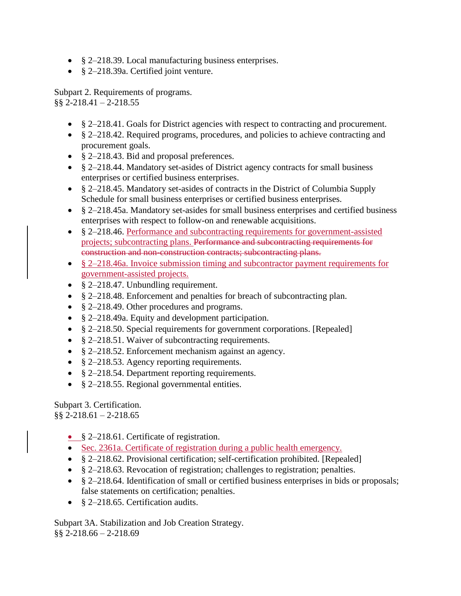- § 2–218.39. Local [manufacturing](https://code.dccouncil.us/dc/council/code/sections/2-218.39.html) business enterprises.
- § [2–218.39a.](https://code.dccouncil.us/dc/council/code/sections/2-218.39a.html) Certified joint venture.

Subpart 2. [Requirements](https://code.dccouncil.us/dc/council/code/titles/2/chapters/2/subchapters/IX-A/parts/D/subparts/2/) of programs. §§ 2-218.41 – 2-218.55

- § 2–218.41. Goals for District agencies with respect to contracting and [procurement.](https://code.dccouncil.us/dc/council/code/sections/2-218.41.html)
- § 2–218.42. Required programs, [procedures,](https://code.dccouncil.us/dc/council/code/sections/2-218.42.html) and policies to achieve contracting and [procurement](https://code.dccouncil.us/dc/council/code/sections/2-218.42.html) goals.
- § 2–218.43. Bid and proposal [preferences.](https://code.dccouncil.us/dc/council/code/sections/2-218.43.html)
- § 2–218.44. [Mandatory](https://code.dccouncil.us/dc/council/code/sections/2-218.44.html) set-asides of District agency contracts for small business enterprises or certified business [enterprises.](https://code.dccouncil.us/dc/council/code/sections/2-218.44.html)
- § 2–218.45. [Mandatory](https://code.dccouncil.us/dc/council/code/sections/2-218.45.html) set-asides of contracts in the District of Columbia Supply Schedule for small business enterprises or certified business [enterprises.](https://code.dccouncil.us/dc/council/code/sections/2-218.45.html)
- § [2–218.45a.](https://code.dccouncil.us/dc/council/code/sections/2-218.45a.html) Mandatory set-asides for small business enterprises and certified business enterprises with respect to follow-on and renewable [acquisitions.](https://code.dccouncil.us/dc/council/code/sections/2-218.45a.html)
- § 2–218.46. Performance and subcontracting requirements for government-assisted [projects; subcontracting plans.](https://code.dccouncil.us/dc/council/code/sections/2-218.46.html) Performance and subcontracting requirements for construction and [non-construction](https://code.dccouncil.us/dc/council/code/sections/2-218.46.html) contracts; subcontracting plans.
- § 2–218.46a. Invoice submission timing and subcontractor payment requirements for government-assisted projects.
- § 2–218.47. Unbundling [requirement.](https://code.dccouncil.us/dc/council/code/sections/2-218.47.html)
- § 2-218.48. Enforcement and penalties for breach of [subcontracting](https://code.dccouncil.us/dc/council/code/sections/2-218.48.html) plan.
- § 2–218.49. Other [procedures](https://code.dccouncil.us/dc/council/code/sections/2-218.49.html) and programs.
- § 2–218.49a. Equity and development [participation.](https://code.dccouncil.us/dc/council/code/sections/2-218.49a.html)
- § 2–218.50. Special requirements for government [corporations.](https://code.dccouncil.us/dc/council/code/sections/2-218.50.html) [Repealed]
- § 2–218.51. Waiver of [subcontracting](https://code.dccouncil.us/dc/council/code/sections/2-218.51.html) requirements.
- § 2–218.52. [Enforcement](https://code.dccouncil.us/dc/council/code/sections/2-218.52.html) mechanism against an agency.
- § 2–218.53. Agency reporting [requirements.](https://code.dccouncil.us/dc/council/code/sections/2-218.53.html)
- § 2–218.54. Department reporting [requirements.](https://code.dccouncil.us/dc/council/code/sections/2-218.54.html)
- § 2–218.55. Regional [governmental](https://code.dccouncil.us/dc/council/code/sections/2-218.55.html) entities.

Subpart 3. [Certification.](https://code.dccouncil.us/dc/council/code/titles/2/chapters/2/subchapters/IX-A/parts/D/subparts/3/)  $\S$ § 2-218.61 – 2-218.65

- § 2–218.61. Certificate of [registration.](https://code.dccouncil.us/dc/council/code/sections/2-218.61.html)
- Sec. 2361a. Certificate of registration during a public health emergency.
- § 2–218.62. Provisional certification; [self-certification](https://code.dccouncil.us/dc/council/code/sections/2-218.62.html) prohibited. [Repealed]
- § 2–218.63. Revocation of [registration;](https://code.dccouncil.us/dc/council/code/sections/2-218.63.html) challenges to registration; penalties.
- § 2–218.64. [Identification](https://code.dccouncil.us/dc/council/code/sections/2-218.64.html) of small or certified business enterprises in bids or proposals; false statements on [certification;](https://code.dccouncil.us/dc/council/code/sections/2-218.64.html) penalties.
- § 2–218.65. [Certification](https://code.dccouncil.us/dc/council/code/sections/2-218.65.html) audits.

Subpart 3A. [Stabilization](https://code.dccouncil.us/dc/council/code/titles/2/chapters/2/subchapters/IX-A/parts/D/subparts/3A/) and Job Creation Strategy. §§ 2-218.66 – 2-218.69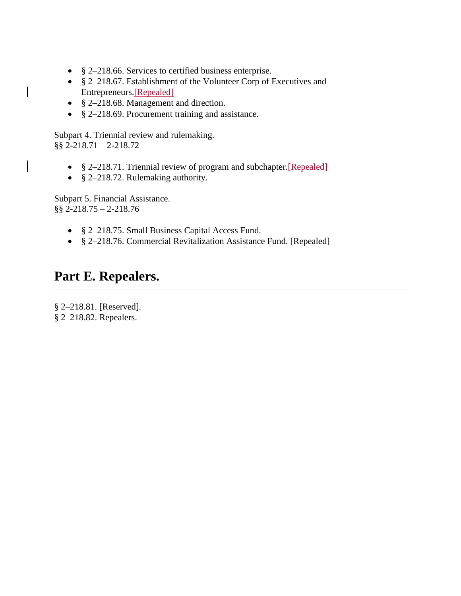- § 2–218.66. Services to certified business [enterprise.](https://code.dccouncil.us/dc/council/code/sections/2-218.66.html)
- § 2–218.67. [Establishment](https://code.dccouncil.us/dc/council/code/sections/2-218.67.html) of the Volunteer Corp of Executives and [Entrepreneurs.\[](https://code.dccouncil.us/dc/council/code/sections/2-218.67.html)Repealed]
- § 2–218.68. [Management](https://code.dccouncil.us/dc/council/code/sections/2-218.68.html) and direction.
- § 2–218.69. [Procurement](https://code.dccouncil.us/dc/council/code/sections/2-218.69.html) training and assistance.

Subpart 4. Triennial review and [rulemaking.](https://code.dccouncil.us/dc/council/code/titles/2/chapters/2/subchapters/IX-A/parts/D/subparts/4/) §§ 2-218.71 – 2-218.72

- § 2–218.71. Triennial review of program and subchapter. [Repealed]
- § 2–218.72. [Rulemaking](https://code.dccouncil.us/dc/council/code/sections/2-218.72.html) authority.

Subpart 5. Financial [Assistance.](https://code.dccouncil.us/dc/council/code/titles/2/chapters/2/subchapters/IX-A/parts/D/subparts/5/) §§ 2-218.75 – 2-218.76

- § [2–218.75.](https://code.dccouncil.us/dc/council/code/sections/2-218.75.html) Small Business Capital Access Fund.
- § 2–218.76. Commercial [Revitalization](https://code.dccouncil.us/dc/council/code/sections/2-218.76.html) Assistance Fund. [Repealed]

### **Part E. Repealers.**

§ 2–218.81. [\[Reserved\].](https://code.dccouncil.us/dc/council/code/sections/2-218.81.html) § 2–218.82. [Repealers.](https://code.dccouncil.us/dc/council/code/sections/2-218.82.html)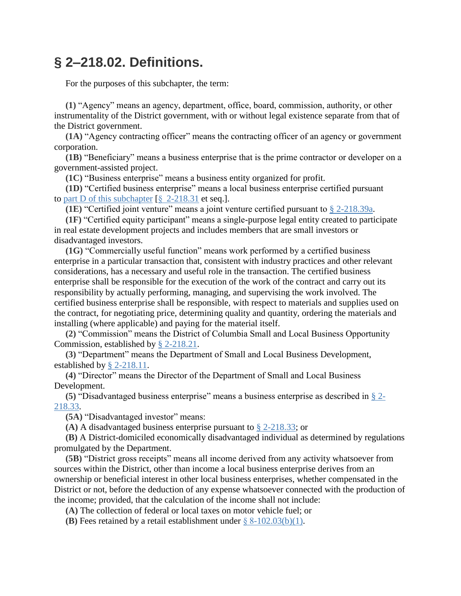## **§ 2–218.02. Definitions.**

For the purposes of this subchapter, the term:

**(1)** "Agency" means an agency, department, office, board, commission, authority, or other instrumentality of the District government, with or without legal existence separate from that of the District government.

**(1A)** "Agency contracting officer" means the contracting officer of an agency or government corporation.

**(1B)** "Beneficiary" means a business enterprise that is the prime contractor or developer on a government-assisted project.

**(1C)** "Business enterprise" means a business entity organized for profit.

**(1D)** "Certified business enterprise" means a local business enterprise certified pursuant to part D of this [subchapter](https://code.dccouncil.us/dc/council/code/titles/2/chapters/2/subchapters/IX-A/parts/D/) [§  [2-218.31](https://code.dccouncil.us/dc/council/code/sections/2-218.31.html) et seq.].

**(1E)** "Certified joint venture" means a joint venture certified pursuant to § [2-218.39a.](https://code.dccouncil.us/dc/council/code/sections/2-218.39a.html)

**(1F)** "Certified equity participant" means a single-purpose legal entity created to participate in real estate development projects and includes members that are small investors or disadvantaged investors.

**(1G)** "Commercially useful function" means work performed by a certified business enterprise in a particular transaction that, consistent with industry practices and other relevant considerations, has a necessary and useful role in the transaction. The certified business enterprise shall be responsible for the execution of the work of the contract and carry out its responsibility by actually performing, managing, and supervising the work involved. The certified business enterprise shall be responsible, with respect to materials and supplies used on the contract, for negotiating price, determining quality and quantity, ordering the materials and installing (where applicable) and paying for the material itself.

**(2)** "Commission" means the District of Columbia Small and Local Business Opportunity Commission, established by § [2-218.21.](https://code.dccouncil.us/dc/council/code/sections/2-218.21.html)

**(3)** "Department" means the Department of Small and Local Business Development, established by § [2-218.11.](https://code.dccouncil.us/dc/council/code/sections/2-218.11.html)

**(4)** "Director" means the Director of the Department of Small and Local Business Development.

**(5)** "Disadvantaged business enterprise" means a business enterprise as described in § [2-](https://code.dccouncil.us/dc/council/code/sections/2-218.33.html) [218.33.](https://code.dccouncil.us/dc/council/code/sections/2-218.33.html)

**(5A)** "Disadvantaged investor" means:

**(A)** A disadvantaged business enterprise pursuant to § [2-218.33;](https://code.dccouncil.us/dc/council/code/sections/2-218.33.html) or

**(B)** A District-domiciled economically disadvantaged individual as determined by regulations promulgated by the Department.

**(5B)** "District gross receipts" means all income derived from any activity whatsoever from sources within the District, other than income a local business enterprise derives from an ownership or beneficial interest in other local business enterprises, whether compensated in the District or not, before the deduction of any expense whatsoever connected with the production of the income; provided, that the calculation of the income shall not include:

**(A)** The collection of federal or local taxes on motor vehicle fuel; or

**(B)** Fees retained by a retail establishment under [§ 8-102.03\(b\)\(1\).](https://code.dccouncil.us/dc/council/code/sections/8-102.03.html#(b)(1))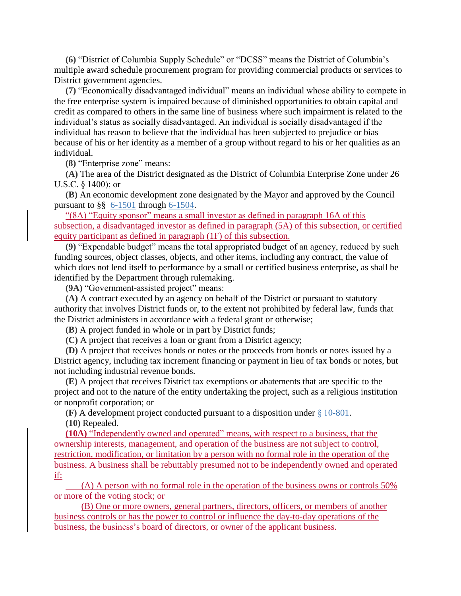**(6)** "District of Columbia Supply Schedule" or "DCSS" means the District of Columbia's multiple award schedule procurement program for providing commercial products or services to District government agencies.

**(7)** "Economically disadvantaged individual" means an individual whose ability to compete in the free enterprise system is impaired because of diminished opportunities to obtain capital and credit as compared to others in the same line of business where such impairment is related to the individual's status as socially disadvantaged. An individual is socially disadvantaged if the individual has reason to believe that the individual has been subjected to prejudice or bias because of his or her identity as a member of a group without regard to his or her qualities as an individual.

**(8)** "Enterprise zone" means:

**(A)** The area of the District designated as the District of Columbia Enterprise Zone under 26 U.S.C. § 1400); or

**(B)** An economic development zone designated by the Mayor and approved by the Council pursuant to §§ [6-1501](https://code.dccouncil.us/dc/council/code/sections/6-1501.html) through [6-1504.](https://code.dccouncil.us/dc/council/code/sections/6-1504.html)

"(8A) "Equity sponsor" means a small investor as defined in paragraph 16A of this subsection, a disadvantaged investor as defined in paragraph (5A) of this subsection, or certified equity participant as defined in paragraph (1F) of this subsection.

**(9)** "Expendable budget" means the total appropriated budget of an agency, reduced by such funding sources, object classes, objects, and other items, including any contract, the value of which does not lend itself to performance by a small or certified business enterprise, as shall be identified by the Department through rulemaking.

**(9A)** "Government-assisted project" means:

**(A)** A contract executed by an agency on behalf of the District or pursuant to statutory authority that involves District funds or, to the extent not prohibited by federal law, funds that the District administers in accordance with a federal grant or otherwise;

**(B)** A project funded in whole or in part by District funds;

**(C)** A project that receives a loan or grant from a District agency;

**(D)** A project that receives bonds or notes or the proceeds from bonds or notes issued by a District agency, including tax increment financing or payment in lieu of tax bonds or notes, but not including industrial revenue bonds.

**(E)** A project that receives District tax exemptions or abatements that are specific to the project and not to the nature of the entity undertaking the project, such as a religious institution or nonprofit corporation; or

**(F)** A development project conducted pursuant to a disposition under [§ 10-801.](https://code.dccouncil.us/dc/council/code/sections/10-801.html)

**(10)** Repealed.

**(10A)** "Independently owned and operated" means, with respect to a business, that the ownership interests, management, and operation of the business are not subject to control, restriction, modification, or limitation by a person with no formal role in the operation of the business. A business shall be rebuttably presumed not to be independently owned and operated if:

(A) A person with no formal role in the operation of the business owns or controls 50% or more of the voting stock; or

(B) One or more owners, general partners, directors, officers, or members of another business controls or has the power to control or influence the day-to-day operations of the business, the business's board of directors, or owner of the applicant business.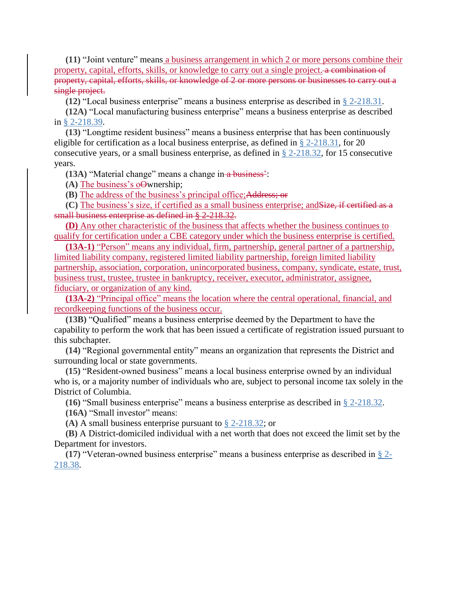**(11)** "Joint venture" means a business arrangement in which 2 or more persons combine their property, capital, efforts, skills, or knowledge to carry out a single project. a combination of property, capital, efforts, skills, or knowledge of 2 or more persons or businesses to carry out a single project.

**(12)** "Local business enterprise" means a business enterprise as described in § [2-218.31.](https://code.dccouncil.us/dc/council/code/sections/2-218.31.html)

**(12A)** "Local manufacturing business enterprise" means a business enterprise as described in § [2-218.39.](https://code.dccouncil.us/dc/council/code/sections/2-218.39.html)

**(13)** "Longtime resident business" means a business enterprise that has been continuously eligible for certification as a local business enterprise, as defined in § [2-218.31,](https://code.dccouncil.us/dc/council/code/sections/2-218.31.html) for 20 consecutive years, or a small business enterprise, as defined in  $\S$  [2-218.32,](https://code.dccouncil.us/dc/council/code/sections/2-218.32.html) for 15 consecutive years.

**(13A)** "Material change" means a change in a business':

**(A)** The business's oOwnership;

**(B)** The address of the business's principal office;Address; or

**(C)** The business's size, if certified as a small business enterprise; andSize, if certified as a small business enterprise as defined in § 2-218.32.

**(D)** Any other characteristic of the business that affects whether the business continues to qualify for certification under a CBE category under which the business enterprise is certified.

**(13A-1)** "Person" means any individual, firm, partnership, general partner of a partnership, limited liability company, registered limited liability partnership, foreign limited liability partnership, association, corporation, unincorporated business, company, syndicate, estate, trust, business trust, trustee, trustee in bankruptcy, receiver, executor, administrator, assignee, fiduciary, or organization of any kind.

**(13A-2)** "Principal office" means the location where the central operational, financial, and recordkeeping functions of the business occur.

**(13B)** "Qualified" means a business enterprise deemed by the Department to have the capability to perform the work that has been issued a certificate of registration issued pursuant to this subchapter.

**(14)** "Regional governmental entity" means an organization that represents the District and surrounding local or state governments.

**(15)** "Resident-owned business" means a local business enterprise owned by an individual who is, or a majority number of individuals who are, subject to personal income tax solely in the District of Columbia.

**(16)** "Small business enterprise" means a business enterprise as described in § [2-218.32.](https://code.dccouncil.us/dc/council/code/sections/2-218.32.html)

**(16A)** "Small investor" means:

**(A)** A small business enterprise pursuant to § [2-218.32;](https://code.dccouncil.us/dc/council/code/sections/2-218.32.html) or

**(B)** A District-domiciled individual with a net worth that does not exceed the limit set by the Department for investors.

**(17)** "Veteran-owned business enterprise" means a business enterprise as described in § [2-](https://code.dccouncil.us/dc/council/code/sections/2-218.38.html) [218.38.](https://code.dccouncil.us/dc/council/code/sections/2-218.38.html)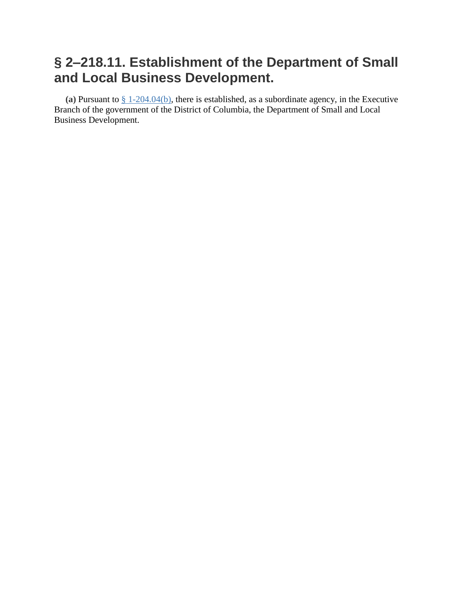# **§ 2–218.11. Establishment of the Department of Small and Local Business Development.**

**(a)** Pursuant to § [1-204.04\(b\),](https://code.dccouncil.us/dc/council/code/sections/1-204.04.html#(b)) there is established, as a subordinate agency, in the Executive Branch of the government of the District of Columbia, the Department of Small and Local Business Development.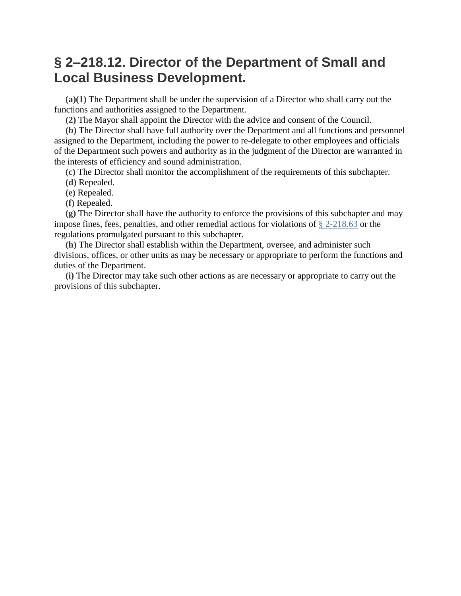## **§ 2–218.12. Director of the Department of Small and Local Business Development.**

**(a)(1)** The Department shall be under the supervision of a Director who shall carry out the functions and authorities assigned to the Department.

**(2)** The Mayor shall appoint the Director with the advice and consent of the Council.

**(b)** The Director shall have full authority over the Department and all functions and personnel assigned to the Department, including the power to re-delegate to other employees and officials of the Department such powers and authority as in the judgment of the Director are warranted in the interests of efficiency and sound administration.

**(c)** The Director shall monitor the accomplishment of the requirements of this subchapter.

- **(d)** Repealed.
- **(e)** Repealed.
- **(f)** Repealed.

**(g)** The Director shall have the authority to enforce the provisions of this subchapter and may impose fines, fees, penalties, and other remedial actions for violations of § [2-218.63](https://code.dccouncil.us/dc/council/code/sections/2-218.63.html) or the regulations promulgated pursuant to this subchapter.

**(h)** The Director shall establish within the Department, oversee, and administer such divisions, offices, or other units as may be necessary or appropriate to perform the functions and duties of the Department.

**(i)** The Director may take such other actions as are necessary or appropriate to carry out the provisions of this subchapter.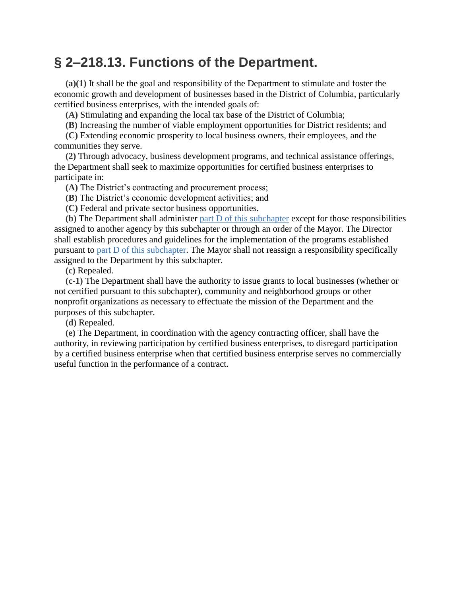### **§ 2–218.13. Functions of the Department.**

**(a)(1)** It shall be the goal and responsibility of the Department to stimulate and foster the economic growth and development of businesses based in the District of Columbia, particularly certified business enterprises, with the intended goals of:

**(A)** Stimulating and expanding the local tax base of the District of Columbia;

**(B)** Increasing the number of viable employment opportunities for District residents; and

**(C)** Extending economic prosperity to local business owners, their employees, and the communities they serve.

**(2)** Through advocacy, business development programs, and technical assistance offerings, the Department shall seek to maximize opportunities for certified business enterprises to participate in:

**(A)** The District's contracting and procurement process;

**(B)** The District's economic development activities; and

**(C)** Federal and private sector business opportunities.

**(b)** The Department shall administer part D of this [subchapter](https://code.dccouncil.us/dc/council/code/titles/2/chapters/2/subchapters/IX-A/parts/D/) except for those responsibilities assigned to another agency by this subchapter or through an order of the Mayor. The Director shall establish procedures and guidelines for the implementation of the programs established pursuant to part D of this [subchapter.](https://code.dccouncil.us/dc/council/code/titles/2/chapters/2/subchapters/IX-A/parts/D/) The Mayor shall not reassign a responsibility specifically assigned to the Department by this subchapter.

**(c)** Repealed.

**(c-1)** The Department shall have the authority to issue grants to local businesses (whether or not certified pursuant to this subchapter), community and neighborhood groups or other nonprofit organizations as necessary to effectuate the mission of the Department and the purposes of this subchapter.

**(d)** Repealed.

**(e)** The Department, in coordination with the agency contracting officer, shall have the authority, in reviewing participation by certified business enterprises, to disregard participation by a certified business enterprise when that certified business enterprise serves no commercially useful function in the performance of a contract.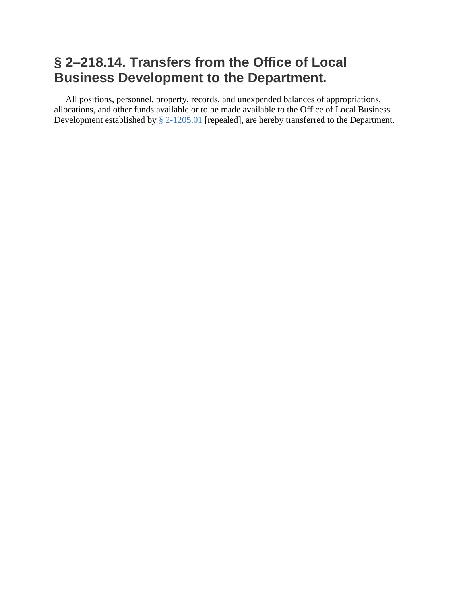# **§ 2–218.14. Transfers from the Office of Local Business Development to the Department.**

All positions, personnel, property, records, and unexpended balances of appropriations, allocations, and other funds available or to be made available to the Office of Local Business Development established by § [2-1205.01](https://code.dccouncil.us/dc/council/code/sections/2-1205.01.html) [repealed], are hereby transferred to the Department.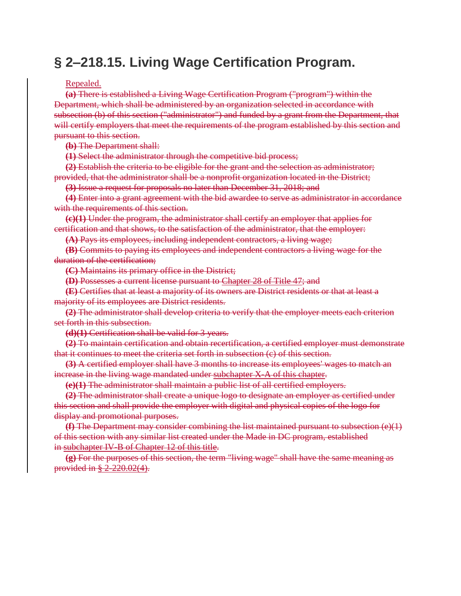# **§ 2–218.15. Living Wage Certification Program.**

#### Repealed.

**(a)** There is established a Living Wage Certification Program ("program") within the Department, which shall be administered by an organization selected in accordance with subsection (b) of this section ("administrator") and funded by a grant from the Department, that will certify employers that meet the requirements of the program established by this section and pursuant to this section.

**(b)** The Department shall:

**(1)** Select the administrator through the competitive bid process;

**(2)** Establish the criteria to be eligible for the grant and the selection as administrator; provided, that the administrator shall be a nonprofit organization located in the District;

**(3)** Issue a request for proposals no later than December 31, 2018; and

**(4)** Enter into a grant agreement with the bid awardee to serve as administrator in accordance with the requirements of this section.

**(c)(1)** Under the program, the administrator shall certify an employer that applies for certification and that shows, to the satisfaction of the administrator, that the employer:

**(A)** Pays its employees, including independent contractors, a living wage;

**(B)** Commits to paying its employees and independent contractors a living wage for the duration of the certification;

**(C)** Maintains its primary office in the District;

**(D)** Possesses a current license pursuant to Chapter 28 of Title 47; and

**(E)** Certifies that at least a majority of its owners are District residents or that at least a majority of its employees are District residents.

**(2)** The administrator shall develop criteria to verify that the employer meets each criterion set forth in this subsection.

**(d)(1)** Certification shall be valid for 3 years.

**(2)** To maintain certification and obtain recertification, a certified employer must demonstrate that it continues to meet the criteria set forth in subsection (c) of this section.

**(3)** A certified employer shall have 3 months to increase its employees' wages to match an increase in the living wage mandated under subchapter X-A of this chapter.

**(e)(1)** The administrator shall maintain a public list of all certified employers.

**(2)** The administrator shall create a unique logo to designate an employer as certified under this section and shall provide the employer with digital and physical copies of the logo for display and promotional purposes.

**(f)** The Department may consider combining the list maintained pursuant to subsection (e)(1) of this section with any similar list created under the Made in DC program, established in subchapter IV-B of Chapter 12 of this title.

**(g)** For the purposes of this section, the term "living wage" shall have the same meaning as provided in § 2-220.02(4).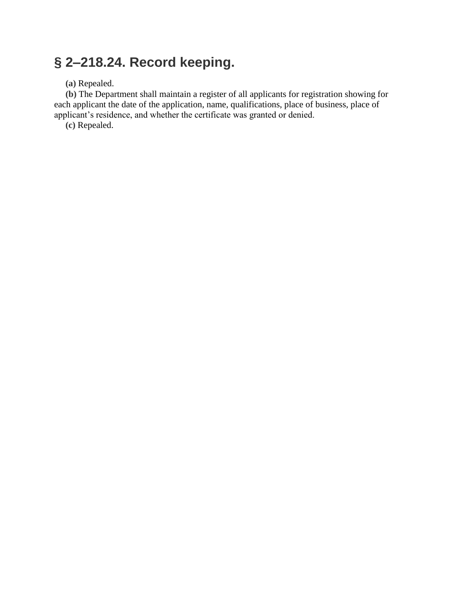# **§ 2–218.24. Record keeping.**

**(a)** Repealed.

**(b)** The Department shall maintain a register of all applicants for registration showing for each applicant the date of the application, name, qualifications, place of business, place of applicant's residence, and whether the certificate was granted or denied.

**(c)** Repealed.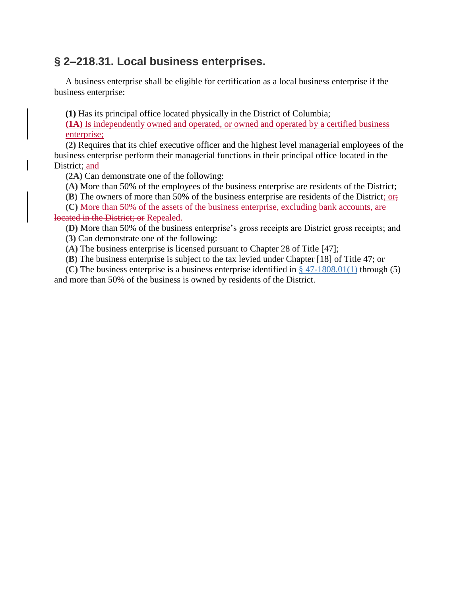### **§ 2–218.31. Local business enterprises.**

A business enterprise shall be eligible for certification as a local business enterprise if the business enterprise:

**(1)** Has its principal office located physically in the District of Columbia;

**(1A)** Is independently owned and operated, or owned and operated by a certified business enterprise;

**(2)** Requires that its chief executive officer and the highest level managerial employees of the business enterprise perform their managerial functions in their principal office located in the District; and

**(2A)** Can demonstrate one of the following:

**(A)** More than 50% of the employees of the business enterprise are residents of the District;

**(B)** The owners of more than 50% of the business enterprise are residents of the District; or;

**(C)** More than 50% of the assets of the business enterprise, excluding bank accounts, are located in the District; or Repealed.

**(D)** More than 50% of the business enterprise's gross receipts are District gross receipts; and

**(3)** Can demonstrate one of the following:

**(A)** The business enterprise is licensed pursuant to Chapter 28 of Title [47];

**(B)** The business enterprise is subject to the tax levied under Chapter [18] of Title 47; or

**(C)** The business enterprise is a business enterprise identified in § [47-1808.01\(1\)](https://code.dccouncil.us/dc/council/code/sections/47-1808.01.html#(1)) through (5) and more than 50% of the business is owned by residents of the District.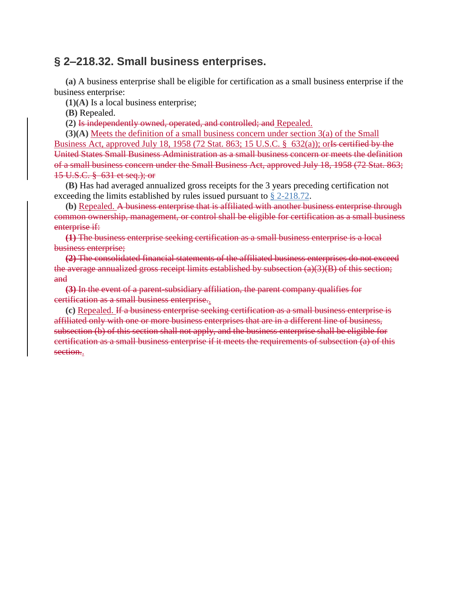#### **§ 2–218.32. Small business enterprises.**

**(a)** A business enterprise shall be eligible for certification as a small business enterprise if the business enterprise:

**(1)(A)** Is a local business enterprise;

**(B)** Repealed.

**(2)** Is independently owned, operated, and controlled; and Repealed.

**(3)(A)** Meets the definition of a small business concern under section 3(a) of the Small Business Act, approved July 18, 1958 (72 Stat. 863; 15 U.S.C.  $\S$  632(a)); or Is certified by the United States Small Business Administration as a small business concern or meets the definition of a small business concern under the Small Business Act, approved July 18, 1958 (72 Stat. 863; 15 U.S.C. § 631 et seq.); or

**(B)** Has had averaged annualized gross receipts for the 3 years preceding certification not exceeding the limits established by rules issued pursuant to § [2-218.72.](https://code.dccouncil.us/dc/council/code/sections/2-218.72.html)

**(b)** Repealed. A business enterprise that is affiliated with another business enterprise through common ownership, management, or control shall be eligible for certification as a small business enterprise if:

**(1)** The business enterprise seeking certification as a small business enterprise is a local business enterprise;

**(2)** The consolidated financial statements of the affiliated business enterprises do not exceed the average annualized gross receipt limits established by subsection (a)(3)(B) of this section; and

**(3)** In the event of a parent-subsidiary affiliation, the parent company qualifies for certification as a small business enterprise..

**(c)** Repealed. If a business enterprise seeking certification as a small business enterprise is affiliated only with one or more business enterprises that are in a different line of business, subsection (b) of this section shall not apply, and the business enterprise shall be eligible for certification as a small business enterprise if it meets the requirements of subsection (a) of this section..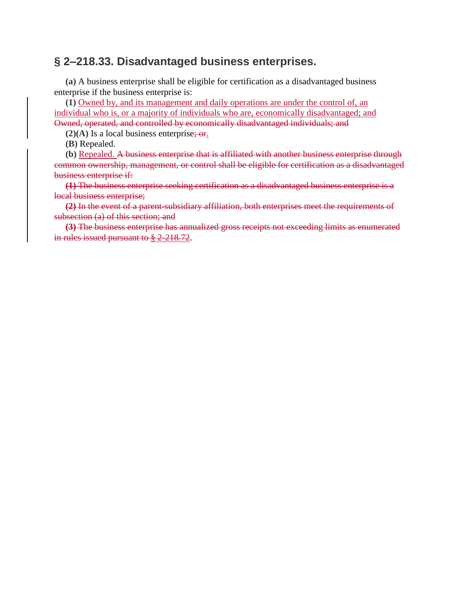#### **§ 2–218.33. Disadvantaged business enterprises.**

**(a)** A business enterprise shall be eligible for certification as a disadvantaged business enterprise if the business enterprise is:

**(1)** Owned by, and its management and daily operations are under the control of, an individual who is, or a majority of individuals who are, economically disadvantaged; and Owned, operated, and controlled by economically disadvantaged individuals; and

 $(2)(A)$  Is a local business enterprise; or.

**(B)** Repealed.

**(b)** Repealed. A business enterprise that is affiliated with another business enterprise through common ownership, management, or control shall be eligible for certification as a disadvantaged business enterprise if:

**(1)** The business enterprise seeking certification as a disadvantaged business enterprise is a local business enterprise;

**(2)** In the event of a parent-subsidiary affiliation, both enterprises meet the requirements of subsection (a) of this section; and

**(3)** The business enterprise has annualized gross receipts not exceeding limits as enumerated in rules issued pursuant to § 2-218.72.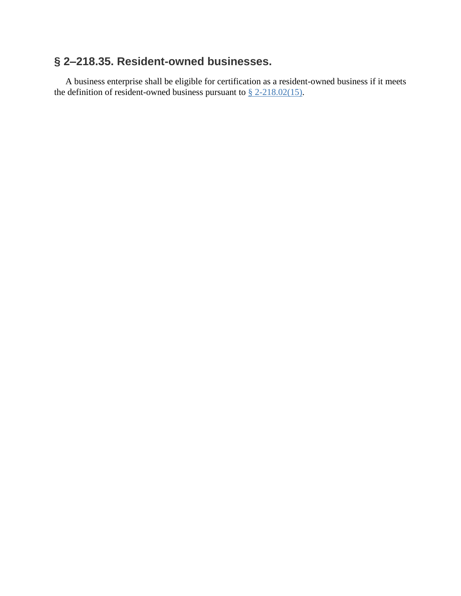### **§ 2–218.35. Resident-owned businesses.**

A business enterprise shall be eligible for certification as a resident-owned business if it meets the definition of resident-owned business pursuant to  $\S 2-218.02(15)$ .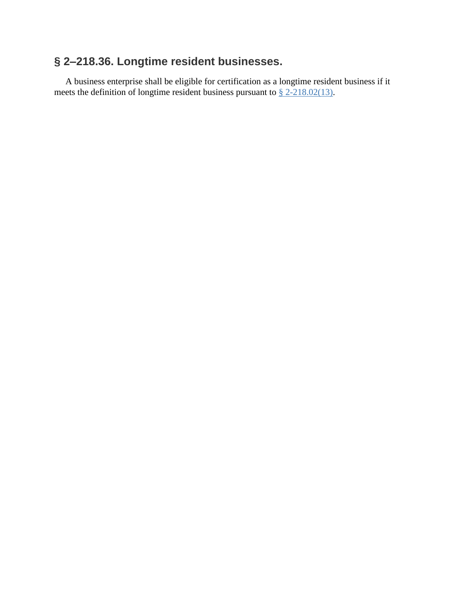### **§ 2–218.36. Longtime resident businesses.**

A business enterprise shall be eligible for certification as a longtime resident business if it meets the definition of longtime resident business pursuant to  $\frac{8}{2}$  [2-218.02\(13\).](https://code.dccouncil.us/dc/council/code/sections/2-218.02.html#(13))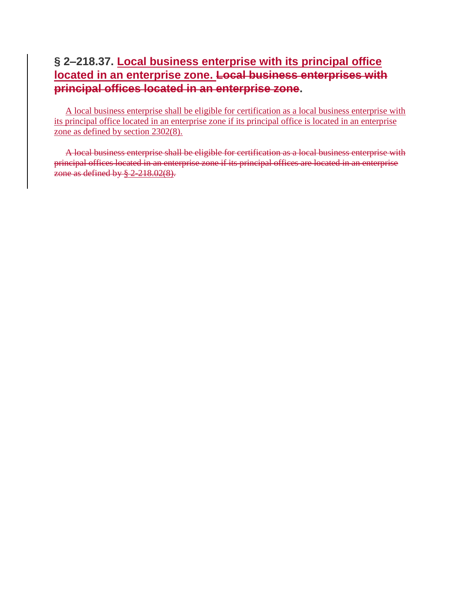### **§ 2–218.37. Local business enterprise with its principal office located in an enterprise zone. Local business enterprises with principal offices located in an enterprise zone.**

A local business enterprise shall be eligible for certification as a local business enterprise with its principal office located in an enterprise zone if its principal office is located in an enterprise zone as defined by section 2302(8).

A local business enterprise shall be eligible for certification as a local business enterprise with principal offices located in an enterprise zone if its principal offices are located in an enterprise zone as defined by  $\S 2.218.02(8)$ .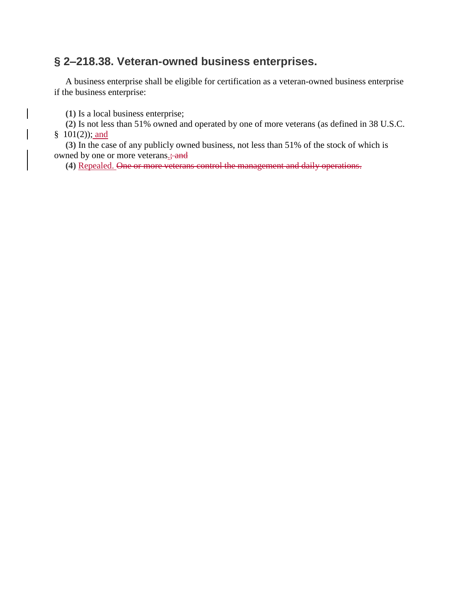### **§ 2–218.38. Veteran-owned business enterprises.**

A business enterprise shall be eligible for certification as a veteran-owned business enterprise if the business enterprise:

**(1)** Is a local business enterprise;

**(2)** Is not less than 51% owned and operated by one of more veterans (as defined in 38 U.S.C.  $§$  101(2)); and

**(3)** In the case of any publicly owned business, not less than 51% of the stock of which is owned by one or more veterans.; and

**(4)** Repealed. One or more veterans control the management and daily operations.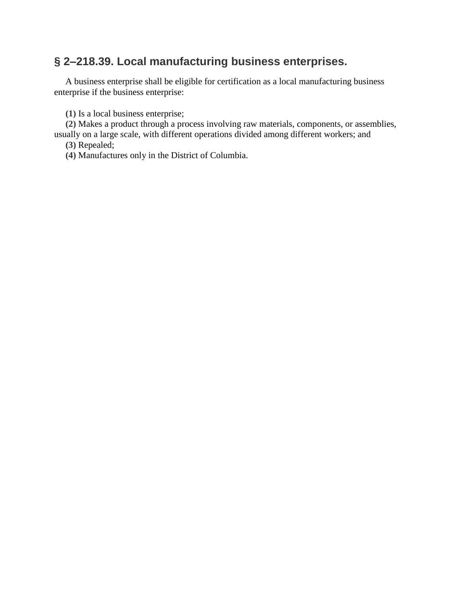### **§ 2–218.39. Local manufacturing business enterprises.**

A business enterprise shall be eligible for certification as a local manufacturing business enterprise if the business enterprise:

**(1)** Is a local business enterprise;

**(2)** Makes a product through a process involving raw materials, components, or assemblies, usually on a large scale, with different operations divided among different workers; and **(3)** Repealed;

**(4)** Manufactures only in the District of Columbia.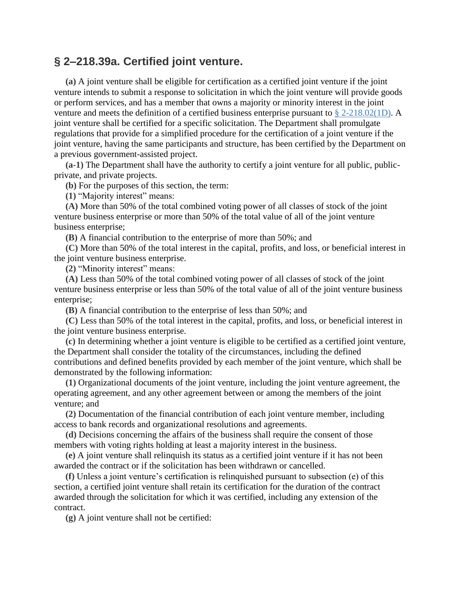#### **§ 2–218.39a. Certified joint venture.**

**(a)** A joint venture shall be eligible for certification as a certified joint venture if the joint venture intends to submit a response to solicitation in which the joint venture will provide goods or perform services, and has a member that owns a majority or minority interest in the joint venture and meets the definition of a certified business enterprise pursuant to § [2-218.02\(1D\).](https://code.dccouncil.us/dc/council/code/sections/2-218.02.html#(1D)) A joint venture shall be certified for a specific solicitation. The Department shall promulgate regulations that provide for a simplified procedure for the certification of a joint venture if the joint venture, having the same participants and structure, has been certified by the Department on a previous government-assisted project.

**(a-1)** The Department shall have the authority to certify a joint venture for all public, publicprivate, and private projects.

**(b)** For the purposes of this section, the term:

**(1)** "Majority interest" means:

**(A)** More than 50% of the total combined voting power of all classes of stock of the joint venture business enterprise or more than 50% of the total value of all of the joint venture business enterprise;

**(B)** A financial contribution to the enterprise of more than 50%; and

**(C)** More than 50% of the total interest in the capital, profits, and loss, or beneficial interest in the joint venture business enterprise.

**(2)** "Minority interest" means:

**(A)** Less than 50% of the total combined voting power of all classes of stock of the joint venture business enterprise or less than 50% of the total value of all of the joint venture business enterprise;

**(B)** A financial contribution to the enterprise of less than 50%; and

**(C)** Less than 50% of the total interest in the capital, profits, and loss, or beneficial interest in the joint venture business enterprise.

**(c)** In determining whether a joint venture is eligible to be certified as a certified joint venture, the Department shall consider the totality of the circumstances, including the defined contributions and defined benefits provided by each member of the joint venture, which shall be demonstrated by the following information:

**(1)** Organizational documents of the joint venture, including the joint venture agreement, the operating agreement, and any other agreement between or among the members of the joint venture; and

**(2)** Documentation of the financial contribution of each joint venture member, including access to bank records and organizational resolutions and agreements.

**(d)** Decisions concerning the affairs of the business shall require the consent of those members with voting rights holding at least a majority interest in the business.

**(e)** A joint venture shall relinquish its status as a certified joint venture if it has not been awarded the contract or if the solicitation has been withdrawn or cancelled.

**(f)** Unless a joint venture's certification is relinquished pursuant to subsection (e) of this section, a certified joint venture shall retain its certification for the duration of the contract awarded through the solicitation for which it was certified, including any extension of the contract.

**(g)** A joint venture shall not be certified: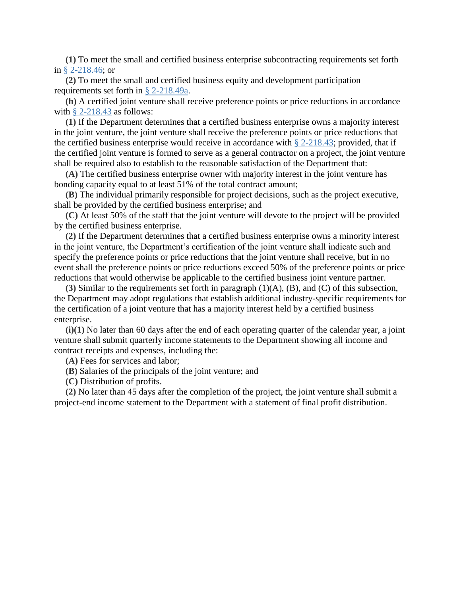**(1)** To meet the small and certified business enterprise subcontracting requirements set forth in § [2-218.46;](https://code.dccouncil.us/dc/council/code/sections/2-218.46.html) or

**(2)** To meet the small and certified business equity and development participation requirements set forth in § [2-218.49a.](https://code.dccouncil.us/dc/council/code/sections/2-218.49a.html)

**(h)** A certified joint venture shall receive preference points or price reductions in accordance with  $\S$  [2-218.43](https://code.dccouncil.us/dc/council/code/sections/2-218.43.html) as follows:

**(1)** If the Department determines that a certified business enterprise owns a majority interest in the joint venture, the joint venture shall receive the preference points or price reductions that the certified business enterprise would receive in accordance with  $\S$  [2-218.43;](https://code.dccouncil.us/dc/council/code/sections/2-218.43.html) provided, that if the certified joint venture is formed to serve as a general contractor on a project, the joint venture shall be required also to establish to the reasonable satisfaction of the Department that:

**(A)** The certified business enterprise owner with majority interest in the joint venture has bonding capacity equal to at least 51% of the total contract amount;

**(B)** The individual primarily responsible for project decisions, such as the project executive, shall be provided by the certified business enterprise; and

**(C)** At least 50% of the staff that the joint venture will devote to the project will be provided by the certified business enterprise.

**(2)** If the Department determines that a certified business enterprise owns a minority interest in the joint venture, the Department's certification of the joint venture shall indicate such and specify the preference points or price reductions that the joint venture shall receive, but in no event shall the preference points or price reductions exceed 50% of the preference points or price reductions that would otherwise be applicable to the certified business joint venture partner.

**(3)** Similar to the requirements set forth in paragraph (1)(A), (B), and (C) of this subsection, the Department may adopt regulations that establish additional industry-specific requirements for the certification of a joint venture that has a majority interest held by a certified business enterprise.

**(i)(1)** No later than 60 days after the end of each operating quarter of the calendar year, a joint venture shall submit quarterly income statements to the Department showing all income and contract receipts and expenses, including the:

**(A)** Fees for services and labor;

**(B)** Salaries of the principals of the joint venture; and

**(C)** Distribution of profits.

**(2)** No later than 45 days after the completion of the project, the joint venture shall submit a project-end income statement to the Department with a statement of final profit distribution.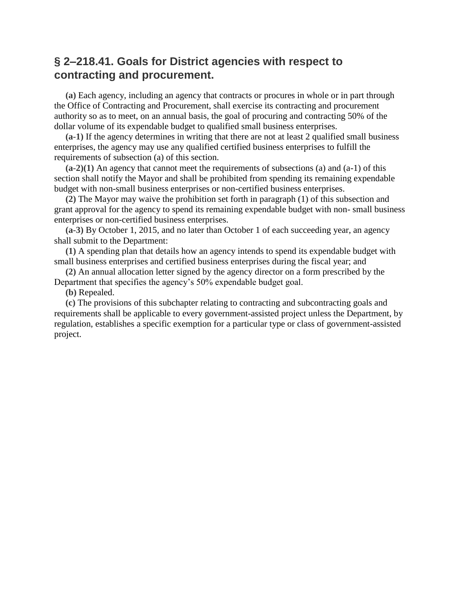### **§ 2–218.41. Goals for District agencies with respect to contracting and procurement.**

**(a)** Each agency, including an agency that contracts or procures in whole or in part through the Office of Contracting and Procurement, shall exercise its contracting and procurement authority so as to meet, on an annual basis, the goal of procuring and contracting 50% of the dollar volume of its expendable budget to qualified small business enterprises.

**(a-1)** If the agency determines in writing that there are not at least 2 qualified small business enterprises, the agency may use any qualified certified business enterprises to fulfill the requirements of subsection (a) of this section.

**(a-2)(1)** An agency that cannot meet the requirements of subsections (a) and (a-1) of this section shall notify the Mayor and shall be prohibited from spending its remaining expendable budget with non-small business enterprises or non-certified business enterprises.

**(2)** The Mayor may waive the prohibition set forth in paragraph (1) of this subsection and grant approval for the agency to spend its remaining expendable budget with non- small business enterprises or non-certified business enterprises.

**(a-3)** By October 1, 2015, and no later than October 1 of each succeeding year, an agency shall submit to the Department:

**(1)** A spending plan that details how an agency intends to spend its expendable budget with small business enterprises and certified business enterprises during the fiscal year; and

**(2)** An annual allocation letter signed by the agency director on a form prescribed by the Department that specifies the agency's 50% expendable budget goal.

**(b)** Repealed.

**(c)** The provisions of this subchapter relating to contracting and subcontracting goals and requirements shall be applicable to every government-assisted project unless the Department, by regulation, establishes a specific exemption for a particular type or class of government-assisted project.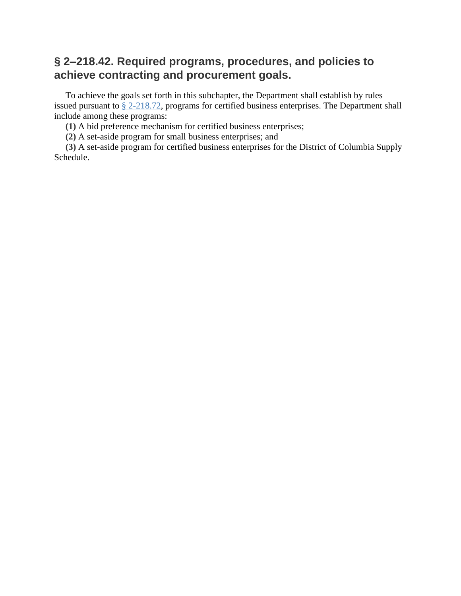### **§ 2–218.42. Required programs, procedures, and policies to achieve contracting and procurement goals.**

To achieve the goals set forth in this subchapter, the Department shall establish by rules issued pursuant to § [2-218.72,](https://code.dccouncil.us/dc/council/code/sections/2-218.72.html) programs for certified business enterprises. The Department shall include among these programs:

**(1)** A bid preference mechanism for certified business enterprises;

**(2)** A set-aside program for small business enterprises; and

**(3)** A set-aside program for certified business enterprises for the District of Columbia Supply Schedule.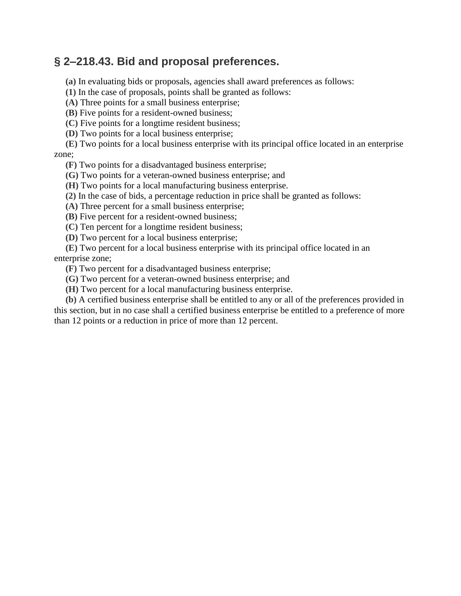### **§ 2–218.43. Bid and proposal preferences.**

**(a)** In evaluating bids or proposals, agencies shall award preferences as follows:

**(1)** In the case of proposals, points shall be granted as follows:

**(A)** Three points for a small business enterprise;

**(B)** Five points for a resident-owned business;

**(C)** Five points for a longtime resident business;

**(D)** Two points for a local business enterprise;

**(E)** Two points for a local business enterprise with its principal office located in an enterprise zone;

**(F)** Two points for a disadvantaged business enterprise;

**(G)** Two points for a veteran-owned business enterprise; and

**(H)** Two points for a local manufacturing business enterprise.

**(2)** In the case of bids, a percentage reduction in price shall be granted as follows:

**(A)** Three percent for a small business enterprise;

**(B)** Five percent for a resident-owned business;

**(C)** Ten percent for a longtime resident business;

**(D)** Two percent for a local business enterprise;

**(E)** Two percent for a local business enterprise with its principal office located in an enterprise zone;

**(F)** Two percent for a disadvantaged business enterprise;

**(G)** Two percent for a veteran-owned business enterprise; and

**(H)** Two percent for a local manufacturing business enterprise.

**(b)** A certified business enterprise shall be entitled to any or all of the preferences provided in this section, but in no case shall a certified business enterprise be entitled to a preference of more than 12 points or a reduction in price of more than 12 percent.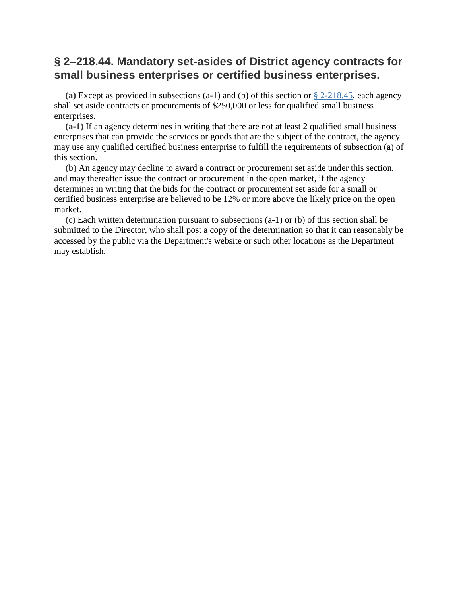### **§ 2–218.44. Mandatory set-asides of District agency contracts for small business enterprises or certified business enterprises.**

**(a)** Except as provided in subsections (a-1) and (b) of this section or § [2-218.45,](https://code.dccouncil.us/dc/council/code/sections/2-218.45.html) each agency shall set aside contracts or procurements of \$250,000 or less for qualified small business enterprises.

**(a-1)** If an agency determines in writing that there are not at least 2 qualified small business enterprises that can provide the services or goods that are the subject of the contract, the agency may use any qualified certified business enterprise to fulfill the requirements of subsection (a) of this section.

**(b)** An agency may decline to award a contract or procurement set aside under this section, and may thereafter issue the contract or procurement in the open market, if the agency determines in writing that the bids for the contract or procurement set aside for a small or certified business enterprise are believed to be 12% or more above the likely price on the open market.

**(c)** Each written determination pursuant to subsections (a-1) or (b) of this section shall be submitted to the Director, who shall post a copy of the determination so that it can reasonably be accessed by the public via the Department's website or such other locations as the Department may establish.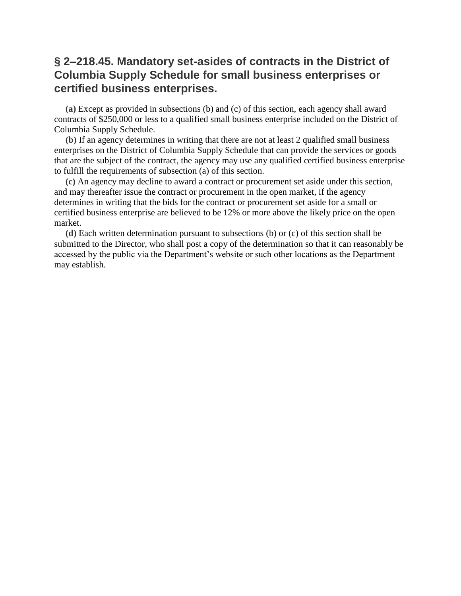### **§ 2–218.45. Mandatory set-asides of contracts in the District of Columbia Supply Schedule for small business enterprises or certified business enterprises.**

**(a)** Except as provided in subsections (b) and (c) of this section, each agency shall award contracts of \$250,000 or less to a qualified small business enterprise included on the District of Columbia Supply Schedule.

**(b)** If an agency determines in writing that there are not at least 2 qualified small business enterprises on the District of Columbia Supply Schedule that can provide the services or goods that are the subject of the contract, the agency may use any qualified certified business enterprise to fulfill the requirements of subsection (a) of this section.

**(c)** An agency may decline to award a contract or procurement set aside under this section, and may thereafter issue the contract or procurement in the open market, if the agency determines in writing that the bids for the contract or procurement set aside for a small or certified business enterprise are believed to be 12% or more above the likely price on the open market.

**(d)** Each written determination pursuant to subsections (b) or (c) of this section shall be submitted to the Director, who shall post a copy of the determination so that it can reasonably be accessed by the public via the Department's website or such other locations as the Department may establish.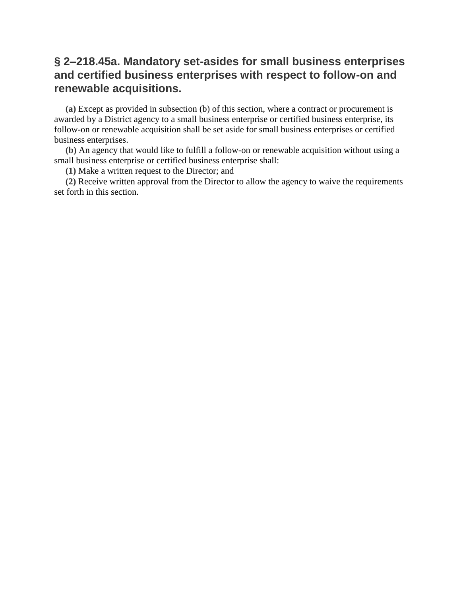### **§ 2–218.45a. Mandatory set-asides for small business enterprises and certified business enterprises with respect to follow-on and renewable acquisitions.**

**(a)** Except as provided in subsection (b) of this section, where a contract or procurement is awarded by a District agency to a small business enterprise or certified business enterprise, its follow-on or renewable acquisition shall be set aside for small business enterprises or certified business enterprises.

**(b)** An agency that would like to fulfill a follow-on or renewable acquisition without using a small business enterprise or certified business enterprise shall:

**(1)** Make a written request to the Director; and

**(2)** Receive written approval from the Director to allow the agency to waive the requirements set forth in this section.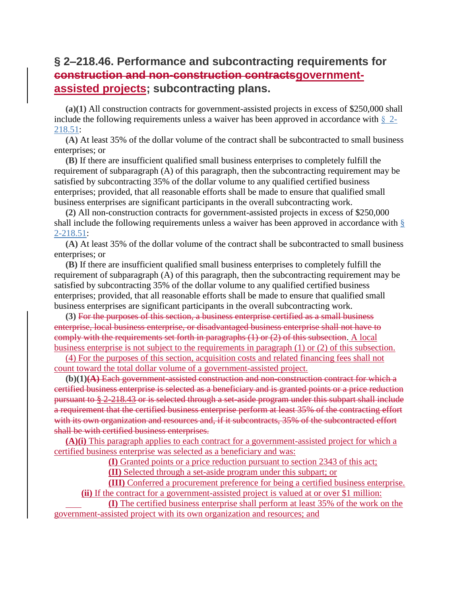### **§ 2–218.46. Performance and subcontracting requirements for construction and non-construction contractsgovernmentassisted projects; subcontracting plans.**

**(a)(1)** All construction contracts for government-assisted projects in excess of \$250,000 shall include the following requirements unless a waiver has been approved in accordance with  $\S$  [2-](https://code.dccouncil.us/dc/council/code/sections/2-218.51.html) [218.51:](https://code.dccouncil.us/dc/council/code/sections/2-218.51.html)

**(A)** At least 35% of the dollar volume of the contract shall be subcontracted to small business enterprises; or

**(B)** If there are insufficient qualified small business enterprises to completely fulfill the requirement of subparagraph (A) of this paragraph, then the subcontracting requirement may be satisfied by subcontracting 35% of the dollar volume to any qualified certified business enterprises; provided, that all reasonable efforts shall be made to ensure that qualified small business enterprises are significant participants in the overall subcontracting work.

**(2)** All non-construction contracts for government-assisted projects in excess of \$250,000 shall include the following requirements unless a waiver has been approved in accordance with [§](https://code.dccouncil.us/dc/council/code/sections/2-218.51.html) [2-218.51:](https://code.dccouncil.us/dc/council/code/sections/2-218.51.html)

**(A)** At least 35% of the dollar volume of the contract shall be subcontracted to small business enterprises; or

**(B)** If there are insufficient qualified small business enterprises to completely fulfill the requirement of subparagraph (A) of this paragraph, then the subcontracting requirement may be satisfied by subcontracting 35% of the dollar volume to any qualified certified business enterprises; provided, that all reasonable efforts shall be made to ensure that qualified small business enterprises are significant participants in the overall subcontracting work.

**(3)** For the purposes of this section, a business enterprise certified as a small business enterprise, local business enterprise, or disadvantaged business enterprise shall not have to comply with the requirements set forth in paragraphs (1) or (2) of this subsection. A local business enterprise is not subject to the requirements in paragraph (1) or (2) of this subsection.

(4) For the purposes of this section, acquisition costs and related financing fees shall not count toward the total dollar volume of a government-assisted project.

**(b)(1)(A)** Each government-assisted construction and non-construction contract for which a certified business enterprise is selected as a beneficiary and is granted points or a price reduction pursuant to § 2-218.43 or is selected through a set-aside program under this subpart shall include a requirement that the certified business enterprise perform at least 35% of the contracting effort with its own organization and resources and, if it subcontracts, 35% of the subcontracted effort shall be with certified business enterprises.

**(A)(i)** This paragraph applies to each contract for a government-assisted project for which a certified business enterprise was selected as a beneficiary and was:

**(I)** Granted points or a price reduction pursuant to section 2343 of this act;

**(II)** Selected through a set-aside program under this subpart; or

**(III)** Conferred a procurement preference for being a certified business enterprise. **(ii)** If the contract for a government-assisted project is valued at or over \$1 million:

**(I)** The certified business enterprise shall perform at least 35% of the work on the government-assisted project with its own organization and resources; and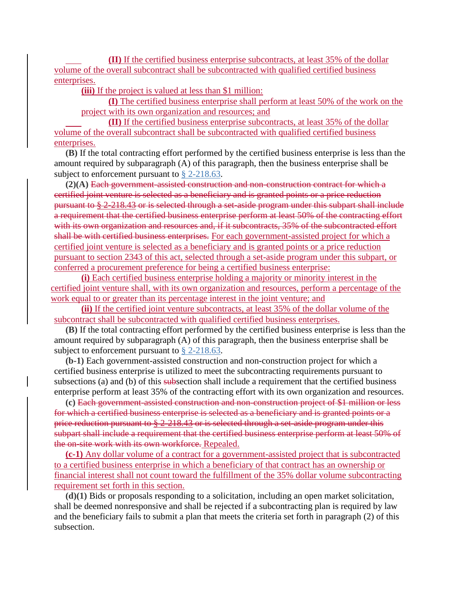**(II)** If the certified business enterprise subcontracts, at least 35% of the dollar volume of the overall subcontract shall be subcontracted with qualified certified business enterprises.

**(iii)** If the project is valued at less than \$1 million:

**(I)** The certified business enterprise shall perform at least 50% of the work on the project with its own organization and resources; and

**(II)** If the certified business enterprise subcontracts, at least 35% of the dollar volume of the overall subcontract shall be subcontracted with qualified certified business enterprises.

**(B)** If the total contracting effort performed by the certified business enterprise is less than the amount required by subparagraph (A) of this paragraph, then the business enterprise shall be subject to enforcement pursuant to § [2-218.63.](https://code.dccouncil.us/dc/council/code/sections/2-218.63.html)

**(2)(A)** Each government-assisted construction and non-construction contract for which a certified joint venture is selected as a beneficiary and is granted points or a price reduction pursuant to § 2-218.43 or is selected through a set-aside program under this subpart shall include a requirement that the certified business enterprise perform at least 50% of the contracting effort with its own organization and resources and, if it subcontracts, 35% of the subcontracted effort shall be with certified business enterprises. For each government-assisted project for which a certified joint venture is selected as a beneficiary and is granted points or a price reduction pursuant to section 2343 of this act, selected through a set-aside program under this subpart, or conferred a procurement preference for being a certified business enterprise:

**(i)** Each certified business enterprise holding a majority or minority interest in the certified joint venture shall, with its own organization and resources, perform a percentage of the work equal to or greater than its percentage interest in the joint venture; and

**(ii)** If the certified joint venture subcontracts, at least 35% of the dollar volume of the subcontract shall be subcontracted with qualified certified business enterprises.

**(B)** If the total contracting effort performed by the certified business enterprise is less than the amount required by subparagraph (A) of this paragraph, then the business enterprise shall be subject to enforcement pursuant to § [2-218.63.](https://code.dccouncil.us/dc/council/code/sections/2-218.63.html)

**(b-1)** Each government-assisted construction and non-construction project for which a certified business enterprise is utilized to meet the subcontracting requirements pursuant to subsections (a) and (b) of this subsection shall include a requirement that the certified business enterprise perform at least 35% of the contracting effort with its own organization and resources.

**(c)** Each government-assisted construction and non-construction project of \$1 million or less for which a certified business enterprise is selected as a beneficiary and is granted points or a price reduction pursuant to § 2-218.43 or is selected through a set-aside program under this subpart shall include a requirement that the certified business enterprise perform at least 50% of the on-site work with its own workforce. Repealed.

**(c-1)** Any dollar volume of a contract for a government-assisted project that is subcontracted to a certified business enterprise in which a beneficiary of that contract has an ownership or financial interest shall not count toward the fulfillment of the 35% dollar volume subcontracting requirement set forth in this section.

**(d)(1)** Bids or proposals responding to a solicitation, including an open market solicitation, shall be deemed nonresponsive and shall be rejected if a subcontracting plan is required by law and the beneficiary fails to submit a plan that meets the criteria set forth in paragraph (2) of this subsection.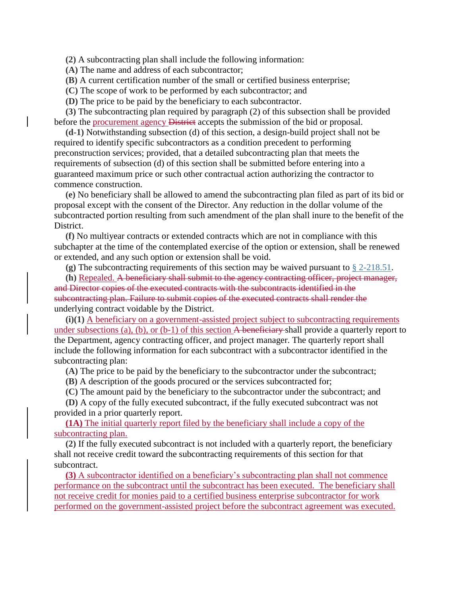**(2)** A subcontracting plan shall include the following information:

**(A)** The name and address of each subcontractor;

**(B)** A current certification number of the small or certified business enterprise;

**(C)** The scope of work to be performed by each subcontractor; and

**(D)** The price to be paid by the beneficiary to each subcontractor.

**(3)** The subcontracting plan required by paragraph (2) of this subsection shall be provided before the procurement agency District accepts the submission of the bid or proposal.

**(d-1)** Notwithstanding subsection (d) of this section, a design-build project shall not be required to identify specific subcontractors as a condition precedent to performing preconstruction services; provided, that a detailed subcontracting plan that meets the requirements of subsection (d) of this section shall be submitted before entering into a guaranteed maximum price or such other contractual action authorizing the contractor to commence construction.

**(e)** No beneficiary shall be allowed to amend the subcontracting plan filed as part of its bid or proposal except with the consent of the Director. Any reduction in the dollar volume of the subcontracted portion resulting from such amendment of the plan shall inure to the benefit of the District.

**(f)** No multiyear contracts or extended contracts which are not in compliance with this subchapter at the time of the contemplated exercise of the option or extension, shall be renewed or extended, and any such option or extension shall be void.

**(g)** The subcontracting requirements of this section may be waived pursuant to § [2-218.51.](https://code.dccouncil.us/dc/council/code/sections/2-218.51.html)

**(h)** Repealed. A beneficiary shall submit to the agency contracting officer, project manager, and Director copies of the executed contracts with the subcontracts identified in the subcontracting plan. Failure to submit copies of the executed contracts shall render the underlying contract voidable by the District.

**(i)(1)** A beneficiary on a government-assisted project subject to subcontracting requirements under subsections (a), (b), or (b-1) of this section A beneficiary shall provide a quarterly report to the Department, agency contracting officer, and project manager. The quarterly report shall include the following information for each subcontract with a subcontractor identified in the subcontracting plan:

**(A)** The price to be paid by the beneficiary to the subcontractor under the subcontract;

**(B)** A description of the goods procured or the services subcontracted for;

**(C)** The amount paid by the beneficiary to the subcontractor under the subcontract; and

**(D)** A copy of the fully executed subcontract, if the fully executed subcontract was not provided in a prior quarterly report.

**(1A)** The initial quarterly report filed by the beneficiary shall include a copy of the subcontracting plan.

**(2)** If the fully executed subcontract is not included with a quarterly report, the beneficiary shall not receive credit toward the subcontracting requirements of this section for that subcontract.

**(3)** A subcontractor identified on a beneficiary's subcontracting plan shall not commence performance on the subcontract until the subcontract has been executed. The beneficiary shall not receive credit for monies paid to a certified business enterprise subcontractor for work performed on the government-assisted project before the subcontract agreement was executed.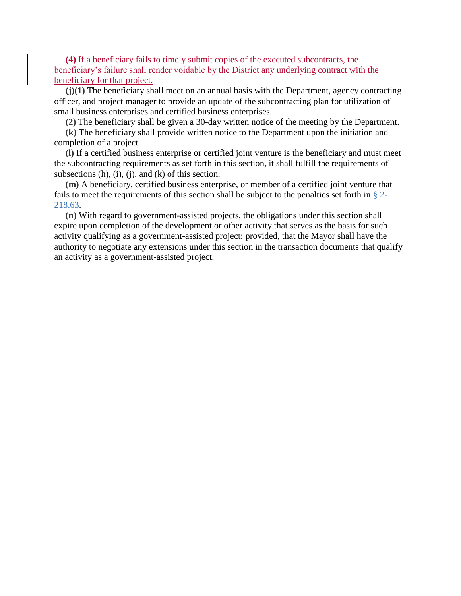**(4)** If a beneficiary fails to timely submit copies of the executed subcontracts, the beneficiary's failure shall render voidable by the District any underlying contract with the beneficiary for that project.

**(j)(1)** The beneficiary shall meet on an annual basis with the Department, agency contracting officer, and project manager to provide an update of the subcontracting plan for utilization of small business enterprises and certified business enterprises.

**(2)** The beneficiary shall be given a 30-day written notice of the meeting by the Department.

**(k)** The beneficiary shall provide written notice to the Department upon the initiation and completion of a project.

**(l)** If a certified business enterprise or certified joint venture is the beneficiary and must meet the subcontracting requirements as set forth in this section, it shall fulfill the requirements of subsections  $(h)$ ,  $(i)$ ,  $(i)$ , and  $(k)$  of this section.

**(m)** A beneficiary, certified business enterprise, or member of a certified joint venture that fails to meet the requirements of this section shall be subject to the penalties set forth in § [2-](https://code.dccouncil.us/dc/council/code/sections/2-218.63.html) [218.63.](https://code.dccouncil.us/dc/council/code/sections/2-218.63.html)

**(n)** With regard to government-assisted projects, the obligations under this section shall expire upon completion of the development or other activity that serves as the basis for such activity qualifying as a government-assisted project; provided, that the Mayor shall have the authority to negotiate any extensions under this section in the transaction documents that qualify an activity as a government-assisted project.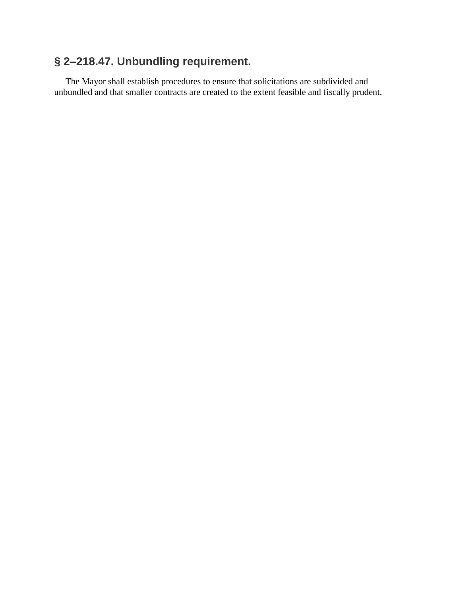### **§ 2–218.47. Unbundling requirement.**

The Mayor shall establish procedures to ensure that solicitations are subdivided and unbundled and that smaller contracts are created to the extent feasible and fiscally prudent.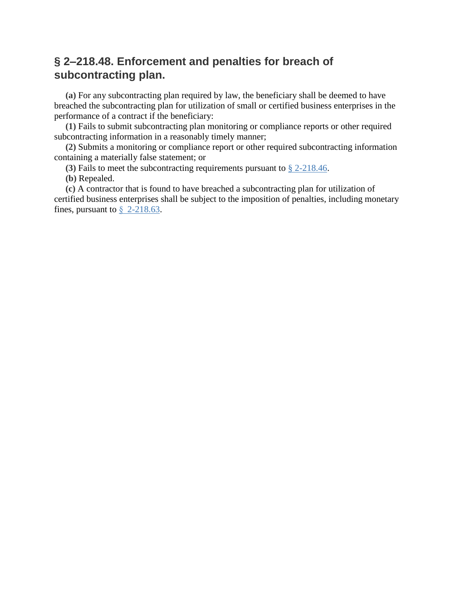### **§ 2–218.48. Enforcement and penalties for breach of subcontracting plan.**

**(a)** For any subcontracting plan required by law, the beneficiary shall be deemed to have breached the subcontracting plan for utilization of small or certified business enterprises in the performance of a contract if the beneficiary:

**(1)** Fails to submit subcontracting plan monitoring or compliance reports or other required subcontracting information in a reasonably timely manner;

**(2)** Submits a monitoring or compliance report or other required subcontracting information containing a materially false statement; or

**(3)** Fails to meet the subcontracting requirements pursuant to § [2-218.46.](https://code.dccouncil.us/dc/council/code/sections/2-218.46.html)

**(b)** Repealed.

**(c)** A contractor that is found to have breached a subcontracting plan for utilization of certified business enterprises shall be subject to the imposition of penalties, including monetary fines, pursuant to  $\S$  [2-218.63.](https://code.dccouncil.us/dc/council/code/sections/2-218.63.html)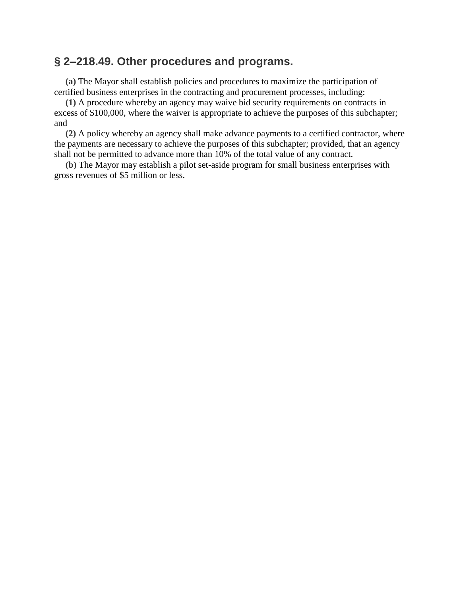#### **§ 2–218.49. Other procedures and programs.**

**(a)** The Mayor shall establish policies and procedures to maximize the participation of certified business enterprises in the contracting and procurement processes, including:

**(1)** A procedure whereby an agency may waive bid security requirements on contracts in excess of \$100,000, where the waiver is appropriate to achieve the purposes of this subchapter; and

**(2)** A policy whereby an agency shall make advance payments to a certified contractor, where the payments are necessary to achieve the purposes of this subchapter; provided, that an agency shall not be permitted to advance more than 10% of the total value of any contract.

**(b)** The Mayor may establish a pilot set-aside program for small business enterprises with gross revenues of \$5 million or less.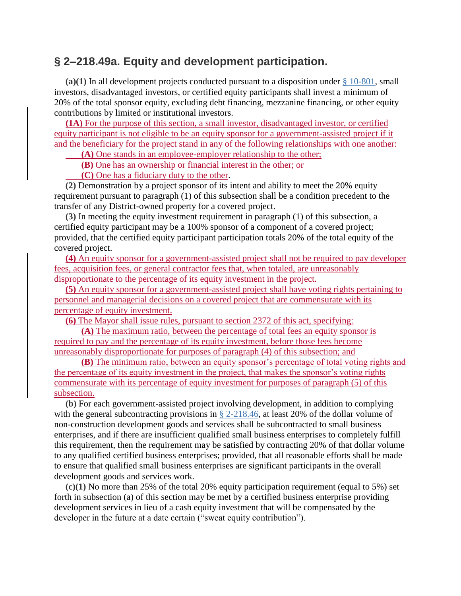#### **§ 2–218.49a. Equity and development participation.**

(a)(1) In all development projects conducted pursuant to a disposition under  $\S 10-801$ , small investors, disadvantaged investors, or certified equity participants shall invest a minimum of 20% of the total sponsor equity, excluding debt financing, mezzanine financing, or other equity contributions by limited or institutional investors.

**(1A)** For the purpose of this section, a small investor, disadvantaged investor, or certified equity participant is not eligible to be an equity sponsor for a government-assisted project if it and the beneficiary for the project stand in any of the following relationships with one another:

**(A)** One stands in an employee-employer relationship to the other;

**(B)** One has an ownership or financial interest in the other; or

**(C)** One has a fiduciary duty to the other.

**(2)** Demonstration by a project sponsor of its intent and ability to meet the 20% equity requirement pursuant to paragraph (1) of this subsection shall be a condition precedent to the transfer of any District-owned property for a covered project.

**(3)** In meeting the equity investment requirement in paragraph (1) of this subsection, a certified equity participant may be a 100% sponsor of a component of a covered project; provided, that the certified equity participant participation totals 20% of the total equity of the covered project.

**(4)** An equity sponsor for a government-assisted project shall not be required to pay developer fees, acquisition fees, or general contractor fees that, when totaled, are unreasonably disproportionate to the percentage of its equity investment in the project.

**(5)** An equity sponsor for a government-assisted project shall have voting rights pertaining to personnel and managerial decisions on a covered project that are commensurate with its percentage of equity investment.

**(6)** The Mayor shall issue rules, pursuant to section 2372 of this act, specifying:

**(A)** The maximum ratio, between the percentage of total fees an equity sponsor is required to pay and the percentage of its equity investment, before those fees become unreasonably disproportionate for purposes of paragraph (4) of this subsection; and

**(B)** The minimum ratio, between an equity sponsor's percentage of total voting rights and the percentage of its equity investment in the project, that makes the sponsor's voting rights commensurate with its percentage of equity investment for purposes of paragraph (5) of this subsection.

**(b)** For each government-assisted project involving development, in addition to complying with the general subcontracting provisions in § [2-218.46,](https://code.dccouncil.us/dc/council/code/sections/2-218.46.html) at least 20% of the dollar volume of non-construction development goods and services shall be subcontracted to small business enterprises, and if there are insufficient qualified small business enterprises to completely fulfill this requirement, then the requirement may be satisfied by contracting 20% of that dollar volume to any qualified certified business enterprises; provided, that all reasonable efforts shall be made to ensure that qualified small business enterprises are significant participants in the overall development goods and services work.

**(c)(1)** No more than 25% of the total 20% equity participation requirement (equal to 5%) set forth in subsection (a) of this section may be met by a certified business enterprise providing development services in lieu of a cash equity investment that will be compensated by the developer in the future at a date certain ("sweat equity contribution").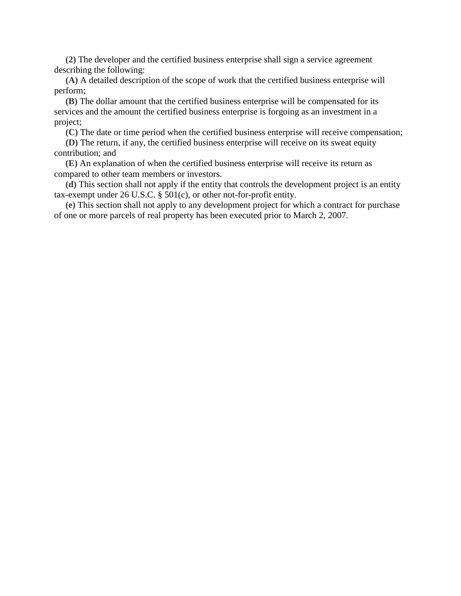**(2)** The developer and the certified business enterprise shall sign a service agreement describing the following:

**(A)** A detailed description of the scope of work that the certified business enterprise will perform;

**(B)** The dollar amount that the certified business enterprise will be compensated for its services and the amount the certified business enterprise is forgoing as an investment in a project;

**(C)** The date or time period when the certified business enterprise will receive compensation;

**(D)** The return, if any, the certified business enterprise will receive on its sweat equity contribution; and

**(E)** An explanation of when the certified business enterprise will receive its return as compared to other team members or investors.

**(d)** This section shall not apply if the entity that controls the development project is an entity tax-exempt under 26 U.S.C. § 501(c), or other not-for-profit entity.

**(e)** This section shall not apply to any development project for which a contract for purchase of one or more parcels of real property has been executed prior to March 2, 2007.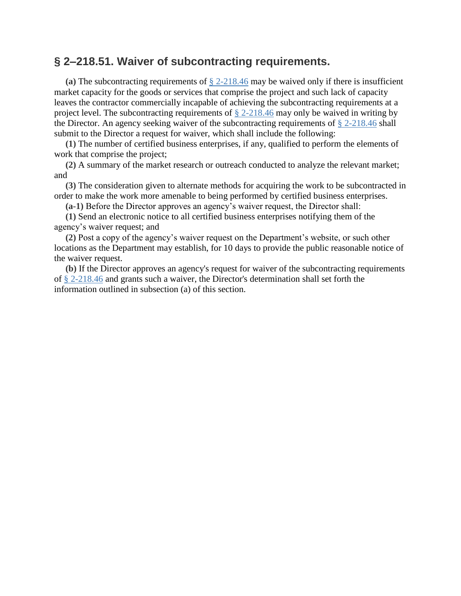#### **§ 2–218.51. Waiver of subcontracting requirements.**

**(a)** The subcontracting requirements of § [2-218.46](https://code.dccouncil.us/dc/council/code/sections/2-218.46.html) may be waived only if there is insufficient market capacity for the goods or services that comprise the project and such lack of capacity leaves the contractor commercially incapable of achieving the subcontracting requirements at a project level. The subcontracting requirements of  $\S$  [2-218.46](https://code.dccouncil.us/dc/council/code/sections/2-218.46.html) may only be waived in writing by the Director. An agency seeking waiver of the subcontracting requirements of § [2-218.46](https://code.dccouncil.us/dc/council/code/sections/2-218.46.html) shall submit to the Director a request for waiver, which shall include the following:

**(1)** The number of certified business enterprises, if any, qualified to perform the elements of work that comprise the project;

**(2)** A summary of the market research or outreach conducted to analyze the relevant market; and

**(3)** The consideration given to alternate methods for acquiring the work to be subcontracted in order to make the work more amenable to being performed by certified business enterprises.

**(a-1)** Before the Director approves an agency's waiver request, the Director shall:

**(1)** Send an electronic notice to all certified business enterprises notifying them of the agency's waiver request; and

**(2)** Post a copy of the agency's waiver request on the Department's website, or such other locations as the Department may establish, for 10 days to provide the public reasonable notice of the waiver request.

**(b)** If the Director approves an agency's request for waiver of the subcontracting requirements of § [2-218.46](https://code.dccouncil.us/dc/council/code/sections/2-218.46.html) and grants such a waiver, the Director's determination shall set forth the information outlined in subsection (a) of this section.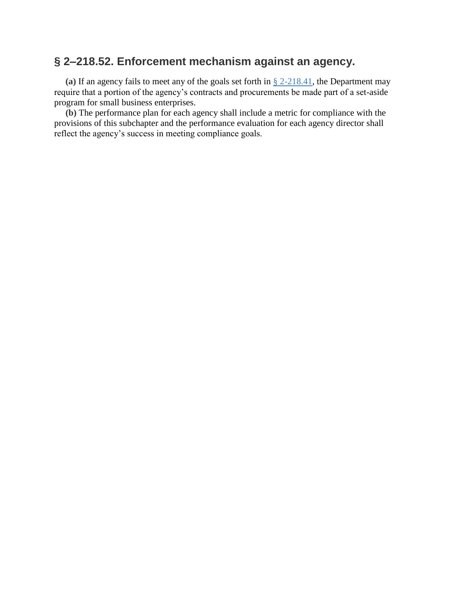### **§ 2–218.52. Enforcement mechanism against an agency.**

**(a)** If an agency fails to meet any of the goals set forth in § [2-218.41,](https://code.dccouncil.us/dc/council/code/sections/2-218.41.html) the Department may require that a portion of the agency's contracts and procurements be made part of a set-aside program for small business enterprises.

**(b)** The performance plan for each agency shall include a metric for compliance with the provisions of this subchapter and the performance evaluation for each agency director shall reflect the agency's success in meeting compliance goals.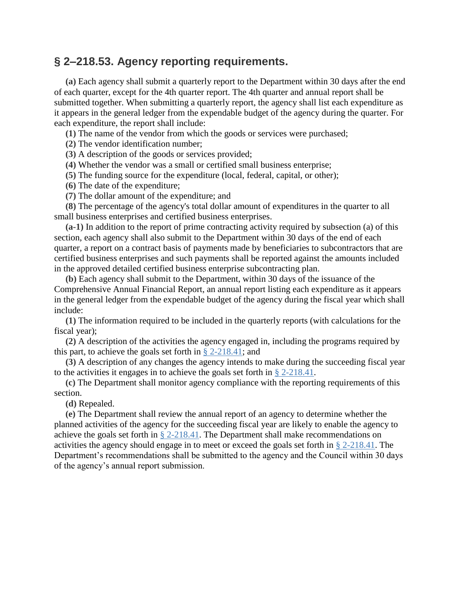### **§ 2–218.53. Agency reporting requirements.**

**(a)** Each agency shall submit a quarterly report to the Department within 30 days after the end of each quarter, except for the 4th quarter report. The 4th quarter and annual report shall be submitted together. When submitting a quarterly report, the agency shall list each expenditure as it appears in the general ledger from the expendable budget of the agency during the quarter. For each expenditure, the report shall include:

**(1)** The name of the vendor from which the goods or services were purchased;

**(2)** The vendor identification number;

**(3)** A description of the goods or services provided;

**(4)** Whether the vendor was a small or certified small business enterprise;

**(5)** The funding source for the expenditure (local, federal, capital, or other);

**(6)** The date of the expenditure;

**(7)** The dollar amount of the expenditure; and

**(8)** The percentage of the agency's total dollar amount of expenditures in the quarter to all small business enterprises and certified business enterprises.

**(a-1)** In addition to the report of prime contracting activity required by subsection (a) of this section, each agency shall also submit to the Department within 30 days of the end of each quarter, a report on a contract basis of payments made by beneficiaries to subcontractors that are certified business enterprises and such payments shall be reported against the amounts included in the approved detailed certified business enterprise subcontracting plan.

**(b)** Each agency shall submit to the Department, within 30 days of the issuance of the Comprehensive Annual Financial Report, an annual report listing each expenditure as it appears in the general ledger from the expendable budget of the agency during the fiscal year which shall include:

**(1)** The information required to be included in the quarterly reports (with calculations for the fiscal year);

**(2)** A description of the activities the agency engaged in, including the programs required by this part, to achieve the goals set forth in  $\S$  [2-218.41;](https://code.dccouncil.us/dc/council/code/sections/2-218.41.html) and

**(3)** A description of any changes the agency intends to make during the succeeding fiscal year to the activities it engages in to achieve the goals set forth in  $\S 2-218.41$ .

**(c)** The Department shall monitor agency compliance with the reporting requirements of this section.

**(d)** Repealed.

**(e)** The Department shall review the annual report of an agency to determine whether the planned activities of the agency for the succeeding fiscal year are likely to enable the agency to achieve the goals set forth in  $\S$  [2-218.41.](https://code.dccouncil.us/dc/council/code/sections/2-218.41.html) The Department shall make recommendations on activities the agency should engage in to meet or exceed the goals set forth in § [2-218.41.](https://code.dccouncil.us/dc/council/code/sections/2-218.41.html) The Department's recommendations shall be submitted to the agency and the Council within 30 days of the agency's annual report submission.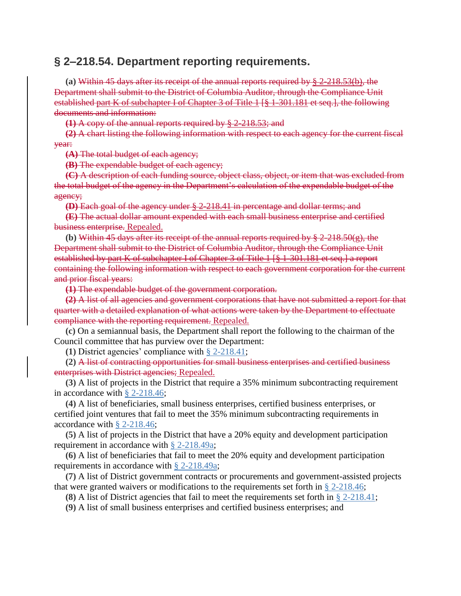#### **§ 2–218.54. Department reporting requirements.**

**(a)** Within 45 days after its receipt of the annual reports required by § 2-218.53(b), the Department shall submit to the District of Columbia Auditor, through the Compliance Unit established part K of subchapter I of Chapter 3 of Title 1 [§ 1-301.181 et seq.], the following documents and information:

**(1)** A copy of the annual reports required by § 2-218.53; and

**(2)** A chart listing the following information with respect to each agency for the current fiscal year:

**(A)** The total budget of each agency;

**(B)** The expendable budget of each agency;

**(C)** A description of each funding source, object class, object, or item that was excluded from the total budget of the agency in the Department's calculation of the expendable budget of the agency;

**(D)** Each goal of the agency under § 2-218.41 in percentage and dollar terms; and

**(E)** The actual dollar amount expended with each small business enterprise and certified business enterprise. Repealed.

**(b)** Within 45 days after its receipt of the annual reports required by § 2-218.50(g), the Department shall submit to the District of Columbia Auditor, through the Compliance Unit established by part K of subchapter I of Chapter 3 of Title 1 [§ 1-301.181 et seq.] a report containing the following information with respect to each government corporation for the current and prior fiscal years:

**(1)** The expendable budget of the government corporation.

**(2)** A list of all agencies and government corporations that have not submitted a report for that quarter with a detailed explanation of what actions were taken by the Department to effectuate compliance with the reporting requirement. Repealed.

**(c)** On a semiannual basis, the Department shall report the following to the chairman of the Council committee that has purview over the Department:

**(1)** District agencies' compliance with § [2-218.41;](https://code.dccouncil.us/dc/council/code/sections/2-218.41.html)

**(2)** A list of contracting opportunities for small business enterprises and certified business enterprises with District agencies; Repealed.

**(3)** A list of projects in the District that require a 35% minimum subcontracting requirement in accordance with § [2-218.46;](https://code.dccouncil.us/dc/council/code/sections/2-218.46.html)

**(4)** A list of beneficiaries, small business enterprises, certified business enterprises, or certified joint ventures that fail to meet the 35% minimum subcontracting requirements in accordance with § [2-218.46;](https://code.dccouncil.us/dc/council/code/sections/2-218.46.html)

**(5)** A list of projects in the District that have a 20% equity and development participation requirement in accordance with § [2-218.49a;](https://code.dccouncil.us/dc/council/code/sections/2-218.49a.html)

**(6)** A list of beneficiaries that fail to meet the 20% equity and development participation requirements in accordance with § [2-218.49a;](https://code.dccouncil.us/dc/council/code/sections/2-218.49a.html)

**(7)** A list of District government contracts or procurements and government-assisted projects that were granted waivers or modifications to the requirements set forth in  $\S 2-218.46$ ;

**(8)** A list of District agencies that fail to meet the requirements set forth in § [2-218.41;](https://code.dccouncil.us/dc/council/code/sections/2-218.41.html)

**(9)** A list of small business enterprises and certified business enterprises; and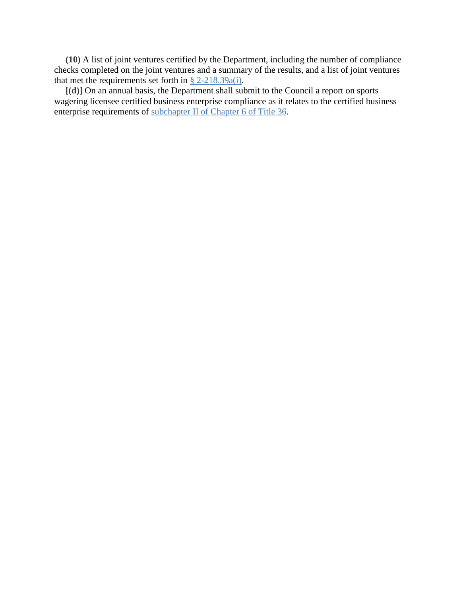**(10)** A list of joint ventures certified by the Department, including the number of compliance checks completed on the joint ventures and a summary of the results, and a list of joint ventures that met the requirements set forth in  $\S 2-218.39a(i)$ .

**[(d)]** On an annual basis, the Department shall submit to the Council a report on sports wagering licensee certified business enterprise compliance as it relates to the certified business enterprise requirements of [subchapter](https://code.dccouncil.us/dc/council/code/titles/36/chapters/6/subchapters/II/) II of Chapter 6 of Title 36.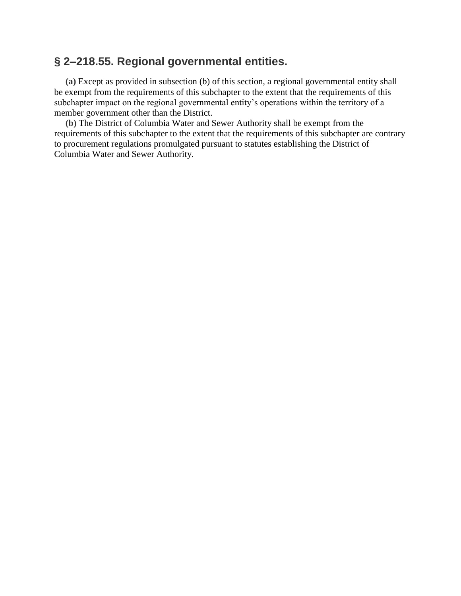### **§ 2–218.55. Regional governmental entities.**

**(a)** Except as provided in subsection (b) of this section, a regional governmental entity shall be exempt from the requirements of this subchapter to the extent that the requirements of this subchapter impact on the regional governmental entity's operations within the territory of a member government other than the District.

**(b)** The District of Columbia Water and Sewer Authority shall be exempt from the requirements of this subchapter to the extent that the requirements of this subchapter are contrary to procurement regulations promulgated pursuant to statutes establishing the District of Columbia Water and Sewer Authority.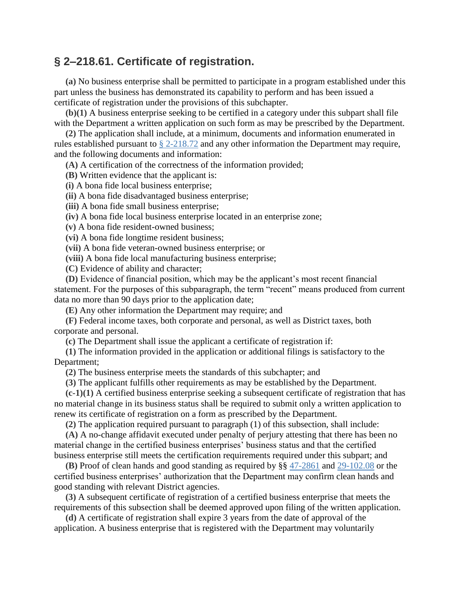### **§ 2–218.61. Certificate of registration.**

**(a)** No business enterprise shall be permitted to participate in a program established under this part unless the business has demonstrated its capability to perform and has been issued a certificate of registration under the provisions of this subchapter.

**(b)(1)** A business enterprise seeking to be certified in a category under this subpart shall file with the Department a written application on such form as may be prescribed by the Department.

**(2)** The application shall include, at a minimum, documents and information enumerated in rules established pursuant to § [2-218.72](https://code.dccouncil.us/dc/council/code/sections/2-218.72.html) and any other information the Department may require, and the following documents and information:

**(A)** A certification of the correctness of the information provided;

**(B)** Written evidence that the applicant is:

**(i)** A bona fide local business enterprise;

**(ii)** A bona fide disadvantaged business enterprise;

**(iii)** A bona fide small business enterprise;

**(iv)** A bona fide local business enterprise located in an enterprise zone;

**(v)** A bona fide resident-owned business;

**(vi)** A bona fide longtime resident business;

**(vii)** A bona fide veteran-owned business enterprise; or

**(viii)** A bona fide local manufacturing business enterprise;

**(C)** Evidence of ability and character;

**(D)** Evidence of financial position, which may be the applicant's most recent financial statement. For the purposes of this subparagraph, the term "recent" means produced from current data no more than 90 days prior to the application date;

**(E)** Any other information the Department may require; and

**(F)** Federal income taxes, both corporate and personal, as well as District taxes, both corporate and personal.

**(c)** The Department shall issue the applicant a certificate of registration if:

**(1)** The information provided in the application or additional filings is satisfactory to the Department;

**(2)** The business enterprise meets the standards of this subchapter; and

**(3)** The applicant fulfills other requirements as may be established by the Department.

**(c-1)(1)** A certified business enterprise seeking a subsequent certificate of registration that has no material change in its business status shall be required to submit only a written application to renew its certificate of registration on a form as prescribed by the Department.

**(2)** The application required pursuant to paragraph (1) of this subsection, shall include:

**(A)** A no-change affidavit executed under penalty of perjury attesting that there has been no material change in the certified business enterprises' business status and that the certified business enterprise still meets the certification requirements required under this subpart; and

**(B)** Proof of clean hands and good standing as required by §§ [47-2861](https://code.dccouncil.us/dc/council/code/sections/47-2861.html) and [29-102.08](https://code.dccouncil.us/dc/council/code/sections/29-102.08.html) or the certified business enterprises' authorization that the Department may confirm clean hands and good standing with relevant District agencies.

**(3)** A subsequent certificate of registration of a certified business enterprise that meets the requirements of this subsection shall be deemed approved upon filing of the written application.

**(d)** A certificate of registration shall expire 3 years from the date of approval of the application. A business enterprise that is registered with the Department may voluntarily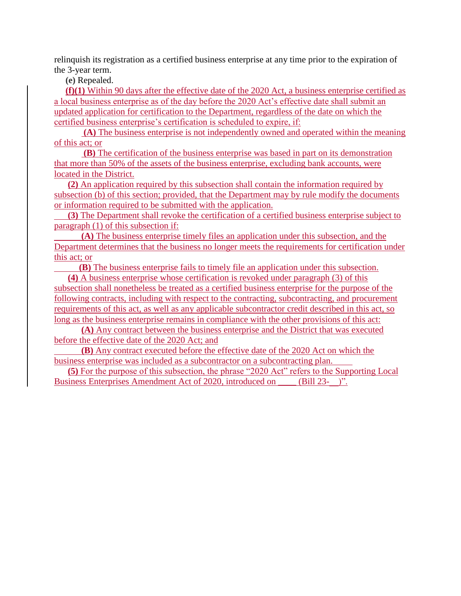relinquish its registration as a certified business enterprise at any time prior to the expiration of the 3-year term.

**(e)** Repealed.

**(f)(1)** Within 90 days after the effective date of the 2020 Act, a business enterprise certified as a local business enterprise as of the day before the 2020 Act's effective date shall submit an updated application for certification to the Department, regardless of the date on which the certified business enterprise's certification is scheduled to expire, if:

**(A)** The business enterprise is not independently owned and operated within the meaning of this act; or

**(B)** The certification of the business enterprise was based in part on its demonstration that more than 50% of the assets of the business enterprise, excluding bank accounts, were located in the District.

**(2)** An application required by this subsection shall contain the information required by subsection (b) of this section; provided, that the Department may by rule modify the documents or information required to be submitted with the application.

 **(3)** The Department shall revoke the certification of a certified business enterprise subject to paragraph (1) of this subsection if:

 **(A)** The business enterprise timely files an application under this subsection, and the Department determines that the business no longer meets the requirements for certification under this act; or

**(B)** The business enterprise fails to timely file an application under this subsection.

**(4)** A business enterprise whose certification is revoked under paragraph (3) of this subsection shall nonetheless be treated as a certified business enterprise for the purpose of the following contracts, including with respect to the contracting, subcontracting, and procurement requirements of this act, as well as any applicable subcontractor credit described in this act, so long as the business enterprise remains in compliance with the other provisions of this act:

**(A)** Any contract between the business enterprise and the District that was executed before the effective date of the 2020 Act; and

**(B)** Any contract executed before the effective date of the 2020 Act on which the business enterprise was included as a subcontractor on a subcontracting plan.

**(5)** For the purpose of this subsection, the phrase "2020 Act" refers to the Supporting Local Business Enterprises Amendment Act of 2020, introduced on \_\_\_\_\_ (Bill 23-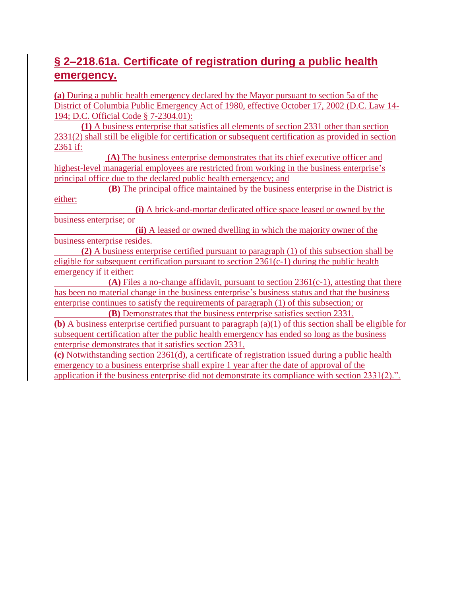### **§ 2–218.61a. Certificate of registration during a public health emergency.**

**(a)** During a public health emergency declared by the Mayor pursuant to section 5a of the District of Columbia Public Emergency Act of 1980, effective October 17, 2002 (D.C. Law 14- 194; D.C. Official Code § 7-2304.01):

**(1)** A business enterprise that satisfies all elements of section 2331 other than section 2331(2) shall still be eligible for certification or subsequent certification as provided in section 2361 if:

**(A)** The business enterprise demonstrates that its chief executive officer and highest-level managerial employees are restricted from working in the business enterprise's principal office due to the declared public health emergency; and

**(B)** The principal office maintained by the business enterprise in the District is either:

**(i)** A brick-and-mortar dedicated office space leased or owned by the business enterprise; or

**(ii)** A leased or owned dwelling in which the majority owner of the business enterprise resides.

**(2)** A business enterprise certified pursuant to paragraph (1) of this subsection shall be eligible for subsequent certification pursuant to section 2361(c-1) during the public health emergency if it either:

**(A)** Files a no-change affidavit, pursuant to section 2361(c-1), attesting that there has been no material change in the business enterprise's business status and that the business enterprise continues to satisfy the requirements of paragraph (1) of this subsection; or

**(B)** Demonstrates that the business enterprise satisfies section 2331. **(b)** A business enterprise certified pursuant to paragraph (a)(1) of this section shall be eligible for subsequent certification after the public health emergency has ended so long as the business enterprise demonstrates that it satisfies section 2331.

**(c)** Notwithstanding section 2361(d), a certificate of registration issued during a public health emergency to a business enterprise shall expire 1 year after the date of approval of the application if the business enterprise did not demonstrate its compliance with section 2331(2).".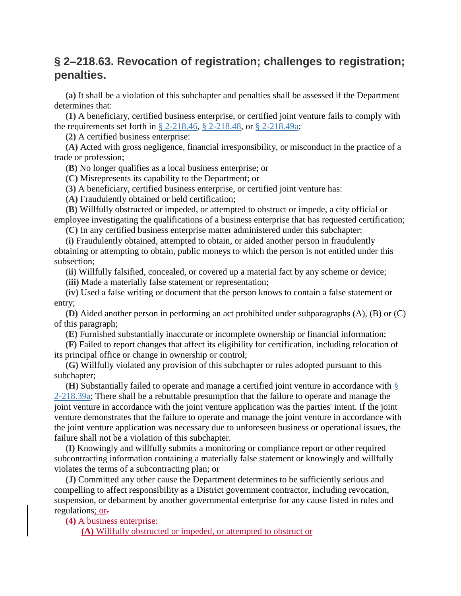### **§ 2–218.63. Revocation of registration; challenges to registration; penalties.**

**(a)** It shall be a violation of this subchapter and penalties shall be assessed if the Department determines that:

**(1)** A beneficiary, certified business enterprise, or certified joint venture fails to comply with the requirements set forth in § [2-218.46,](https://code.dccouncil.us/dc/council/code/sections/2-218.46.html) § [2-218.48,](https://code.dccouncil.us/dc/council/code/sections/2-218.48.html) or § [2-218.49a;](https://code.dccouncil.us/dc/council/code/sections/2-218.49a.html)

**(2)** A certified business enterprise:

**(A)** Acted with gross negligence, financial irresponsibility, or misconduct in the practice of a trade or profession;

**(B)** No longer qualifies as a local business enterprise; or

**(C)** Misrepresents its capability to the Department; or

**(3)** A beneficiary, certified business enterprise, or certified joint venture has:

**(A)** Fraudulently obtained or held certification;

**(B)** Willfully obstructed or impeded, or attempted to obstruct or impede, a city official or employee investigating the qualifications of a business enterprise that has requested certification;

**(C)** In any certified business enterprise matter administered under this subchapter:

**(i)** Fraudulently obtained, attempted to obtain, or aided another person in fraudulently obtaining or attempting to obtain, public moneys to which the person is not entitled under this subsection;

**(ii)** Willfully falsified, concealed, or covered up a material fact by any scheme or device;

**(iii)** Made a materially false statement or representation;

**(iv)** Used a false writing or document that the person knows to contain a false statement or entry;

**(D)** Aided another person in performing an act prohibited under subparagraphs (A), (B) or (C) of this paragraph;

**(E)** Furnished substantially inaccurate or incomplete ownership or financial information;

**(F)** Failed to report changes that affect its eligibility for certification, including relocation of its principal office or change in ownership or control;

**(G)** Willfully violated any provision of this subchapter or rules adopted pursuant to this subchapter;

**(H)** Substantially failed to operate and manage a certified joint venture in accordance with [§](https://code.dccouncil.us/dc/council/code/sections/2-218.39a.html) [2-218.39a;](https://code.dccouncil.us/dc/council/code/sections/2-218.39a.html) There shall be a rebuttable presumption that the failure to operate and manage the joint venture in accordance with the joint venture application was the parties' intent. If the joint venture demonstrates that the failure to operate and manage the joint venture in accordance with the joint venture application was necessary due to unforeseen business or operational issues, the failure shall not be a violation of this subchapter.

**(I)** Knowingly and willfully submits a monitoring or compliance report or other required subcontracting information containing a materially false statement or knowingly and willfully violates the terms of a subcontracting plan; or

**(J)** Committed any other cause the Department determines to be sufficiently serious and compelling to affect responsibility as a District government contractor, including revocation, suspension, or debarment by another governmental enterprise for any cause listed in rules and regulations; or-

#### **(4)** A business enterprise:

**(A)** Willfully obstructed or impeded, or attempted to obstruct or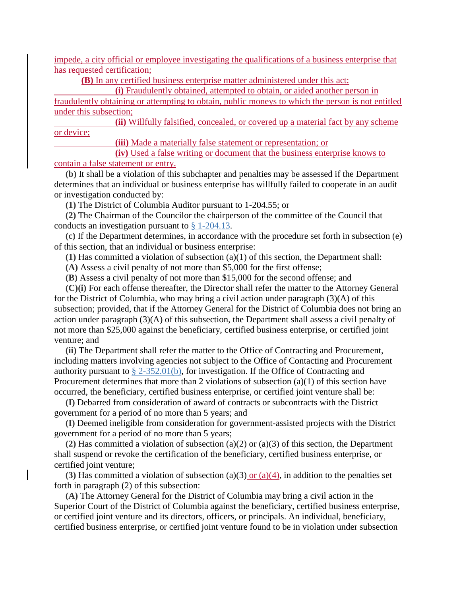impede, a city official or employee investigating the qualifications of a business enterprise that has requested certification;

**(B)** In any certified business enterprise matter administered under this act:

**(i)** Fraudulently obtained, attempted to obtain, or aided another person in

fraudulently obtaining or attempting to obtain, public moneys to which the person is not entitled under this subsection;

**(ii)** Willfully falsified, concealed, or covered up a material fact by any scheme or device;

**(iii)** Made a materially false statement or representation; or

**(iv)** Used a false writing or document that the business enterprise knows to contain a false statement or entry.

**(b)** It shall be a violation of this subchapter and penalties may be assessed if the Department determines that an individual or business enterprise has willfully failed to cooperate in an audit or investigation conducted by:

**(1)** The District of Columbia Auditor pursuant to 1-204.55; or

**(2)** The Chairman of the Councilor the chairperson of the committee of the Council that conducts an investigation pursuant to § [1-204.13.](https://code.dccouncil.us/dc/council/code/sections/1-204.13.html)

**(c)** If the Department determines, in accordance with the procedure set forth in subsection (e) of this section, that an individual or business enterprise:

**(1)** Has committed a violation of subsection (a)(1) of this section, the Department shall:

**(A)** Assess a civil penalty of not more than \$5,000 for the first offense;

**(B)** Assess a civil penalty of not more than \$15,000 for the second offense; and

**(C)(i)** For each offense thereafter, the Director shall refer the matter to the Attorney General for the District of Columbia, who may bring a civil action under paragraph (3)(A) of this subsection; provided, that if the Attorney General for the District of Columbia does not bring an action under paragraph (3)(A) of this subsection, the Department shall assess a civil penalty of not more than \$25,000 against the beneficiary, certified business enterprise, or certified joint venture; and

**(ii)** The Department shall refer the matter to the Office of Contracting and Procurement, including matters involving agencies not subject to the Office of Contacting and Procurement authority pursuant to  $\S 2-352.01(b)$ , for investigation. If the Office of Contracting and Procurement determines that more than 2 violations of subsection (a)(1) of this section have occurred, the beneficiary, certified business enterprise, or certified joint venture shall be:

**(I)** Debarred from consideration of award of contracts or subcontracts with the District government for a period of no more than 5 years; and

**(I)** Deemed ineligible from consideration for government-assisted projects with the District government for a period of no more than 5 years;

**(2)** Has committed a violation of subsection (a)(2) or (a)(3) of this section, the Department shall suspend or revoke the certification of the beneficiary, certified business enterprise, or certified joint venture;

(3) Has committed a violation of subsection (a)(3) or (a)(4), in addition to the penalties set forth in paragraph (2) of this subsection:

**(A)** The Attorney General for the District of Columbia may bring a civil action in the Superior Court of the District of Columbia against the beneficiary, certified business enterprise, or certified joint venture and its directors, officers, or principals. An individual, beneficiary, certified business enterprise, or certified joint venture found to be in violation under subsection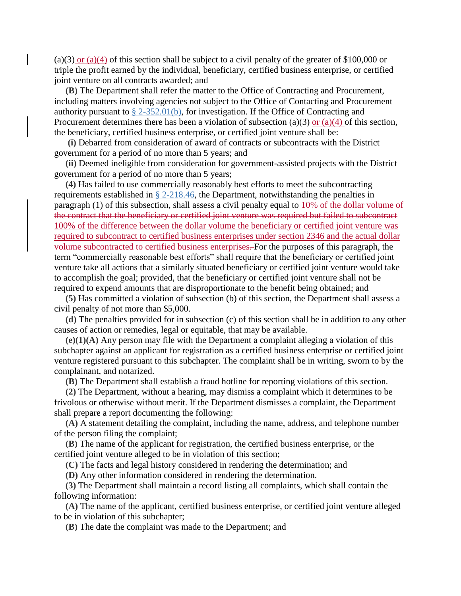(a)(3) or (a)(4) of this section shall be subject to a civil penalty of the greater of \$100,000 or triple the profit earned by the individual, beneficiary, certified business enterprise, or certified joint venture on all contracts awarded; and

**(B)** The Department shall refer the matter to the Office of Contracting and Procurement, including matters involving agencies not subject to the Office of Contacting and Procurement authority pursuant to  $\S 2-352.01(b)$ , for investigation. If the Office of Contracting and Procurement determines there has been a violation of subsection (a)(3) or (a)(4) of this section, the beneficiary, certified business enterprise, or certified joint venture shall be:

**(i)** Debarred from consideration of award of contracts or subcontracts with the District government for a period of no more than 5 years; and

**(ii)** Deemed ineligible from consideration for government-assisted projects with the District government for a period of no more than 5 years;

**(4)** Has failed to use commercially reasonably best efforts to meet the subcontracting requirements established in § [2-218.46,](https://code.dccouncil.us/dc/council/code/sections/2-218.46.html) the Department, notwithstanding the penalties in paragraph (1) of this subsection, shall assess a civil penalty equal to 10% of the dollar volume of the contract that the beneficiary or certified joint venture was required but failed to subcontract 100% of the difference between the dollar volume the beneficiary or certified joint venture was required to subcontract to certified business enterprises under section 2346 and the actual dollar volume subcontracted to certified business enterprises. For the purposes of this paragraph, the term "commercially reasonable best efforts" shall require that the beneficiary or certified joint venture take all actions that a similarly situated beneficiary or certified joint venture would take to accomplish the goal; provided, that the beneficiary or certified joint venture shall not be required to expend amounts that are disproportionate to the benefit being obtained; and

**(5)** Has committed a violation of subsection (b) of this section, the Department shall assess a civil penalty of not more than \$5,000.

**(d)** The penalties provided for in subsection (c) of this section shall be in addition to any other causes of action or remedies, legal or equitable, that may be available.

**(e)(1)(A)** Any person may file with the Department a complaint alleging a violation of this subchapter against an applicant for registration as a certified business enterprise or certified joint venture registered pursuant to this subchapter. The complaint shall be in writing, sworn to by the complainant, and notarized.

**(B)** The Department shall establish a fraud hotline for reporting violations of this section.

**(2)** The Department, without a hearing, may dismiss a complaint which it determines to be frivolous or otherwise without merit. If the Department dismisses a complaint, the Department shall prepare a report documenting the following:

**(A)** A statement detailing the complaint, including the name, address, and telephone number of the person filing the complaint;

**(B)** The name of the applicant for registration, the certified business enterprise, or the certified joint venture alleged to be in violation of this section;

**(C)** The facts and legal history considered in rendering the determination; and

**(D)** Any other information considered in rendering the determination.

**(3)** The Department shall maintain a record listing all complaints, which shall contain the following information:

**(A)** The name of the applicant, certified business enterprise, or certified joint venture alleged to be in violation of this subchapter;

**(B)** The date the complaint was made to the Department; and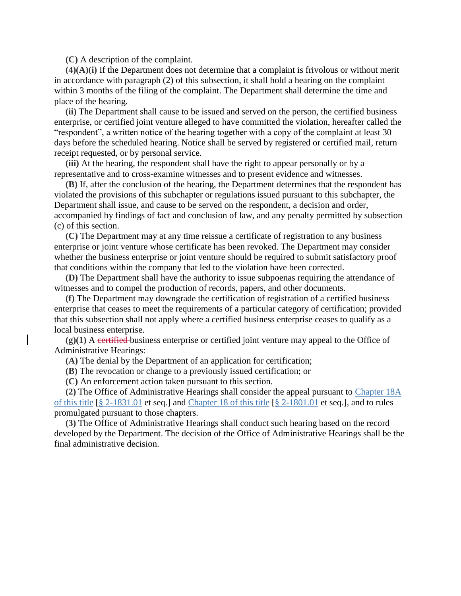**(C)** A description of the complaint.

**(4)(A)(i)** If the Department does not determine that a complaint is frivolous or without merit in accordance with paragraph (2) of this subsection, it shall hold a hearing on the complaint within 3 months of the filing of the complaint. The Department shall determine the time and place of the hearing.

**(ii)** The Department shall cause to be issued and served on the person, the certified business enterprise, or certified joint venture alleged to have committed the violation, hereafter called the "respondent", a written notice of the hearing together with a copy of the complaint at least 30 days before the scheduled hearing. Notice shall be served by registered or certified mail, return receipt requested, or by personal service.

**(iii)** At the hearing, the respondent shall have the right to appear personally or by a representative and to cross-examine witnesses and to present evidence and witnesses.

**(B)** If, after the conclusion of the hearing, the Department determines that the respondent has violated the provisions of this subchapter or regulations issued pursuant to this subchapter, the Department shall issue, and cause to be served on the respondent, a decision and order, accompanied by findings of fact and conclusion of law, and any penalty permitted by subsection (c) of this section.

**(C)** The Department may at any time reissue a certificate of registration to any business enterprise or joint venture whose certificate has been revoked. The Department may consider whether the business enterprise or joint venture should be required to submit satisfactory proof that conditions within the company that led to the violation have been corrected.

**(D)** The Department shall have the authority to issue subpoenas requiring the attendance of witnesses and to compel the production of records, papers, and other documents.

**(f)** The Department may downgrade the certification of registration of a certified business enterprise that ceases to meet the requirements of a particular category of certification; provided that this subsection shall not apply where a certified business enterprise ceases to qualify as a local business enterprise.

**(g)(1)** A certified business enterprise or certified joint venture may appeal to the Office of Administrative Hearings:

**(A)** The denial by the Department of an application for certification;

**(B)** The revocation or change to a previously issued certification; or

**(C)** An enforcement action taken pursuant to this section.

**(2)** The Office of Administrative Hearings shall consider the appeal pursuant to [Chapter](https://code.dccouncil.us/dc/council/code/titles/2/chapters/18A/) 18A of this [title](https://code.dccouncil.us/dc/council/code/titles/2/chapters/18A/) [§ [2-1831.01](https://code.dccouncil.us/dc/council/code/sections/2-1831.01.html) et seq.] and [Chapter](https://code.dccouncil.us/dc/council/code/titles/2/chapters/18/) 18 of this title [§ [2-1801.01](https://code.dccouncil.us/dc/council/code/sections/2-1801.01.html) et seq.], and to rules promulgated pursuant to those chapters.

**(3)** The Office of Administrative Hearings shall conduct such hearing based on the record developed by the Department. The decision of the Office of Administrative Hearings shall be the final administrative decision.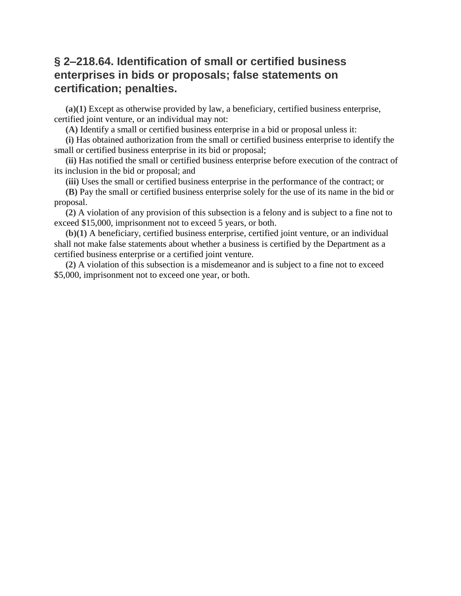### **§ 2–218.64. Identification of small or certified business enterprises in bids or proposals; false statements on certification; penalties.**

**(a)(1)** Except as otherwise provided by law, a beneficiary, certified business enterprise, certified joint venture, or an individual may not:

**(A)** Identify a small or certified business enterprise in a bid or proposal unless it:

**(i)** Has obtained authorization from the small or certified business enterprise to identify the small or certified business enterprise in its bid or proposal;

**(ii)** Has notified the small or certified business enterprise before execution of the contract of its inclusion in the bid or proposal; and

**(iii)** Uses the small or certified business enterprise in the performance of the contract; or

**(B)** Pay the small or certified business enterprise solely for the use of its name in the bid or proposal.

**(2)** A violation of any provision of this subsection is a felony and is subject to a fine not to exceed \$15,000, imprisonment not to exceed 5 years, or both.

**(b)(1)** A beneficiary, certified business enterprise, certified joint venture, or an individual shall not make false statements about whether a business is certified by the Department as a certified business enterprise or a certified joint venture.

**(2)** A violation of this subsection is a misdemeanor and is subject to a fine not to exceed \$5,000, imprisonment not to exceed one year, or both.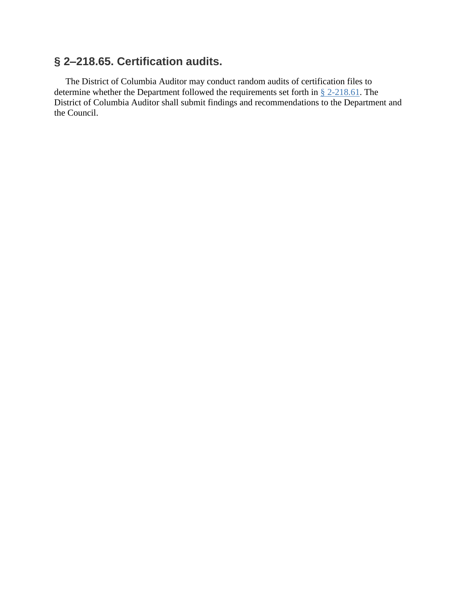### **§ 2–218.65. Certification audits.**

The District of Columbia Auditor may conduct random audits of certification files to determine whether the Department followed the requirements set forth in § [2-218.61.](https://code.dccouncil.us/dc/council/code/sections/2-218.61.html) The District of Columbia Auditor shall submit findings and recommendations to the Department and the Council.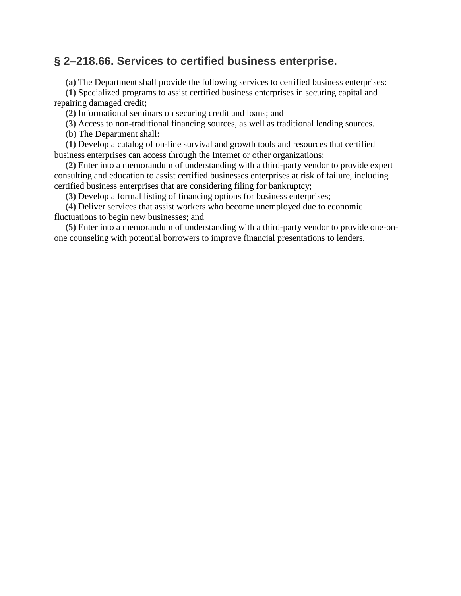### **§ 2–218.66. Services to certified business enterprise.**

**(a)** The Department shall provide the following services to certified business enterprises:

**(1)** Specialized programs to assist certified business enterprises in securing capital and repairing damaged credit;

**(2)** Informational seminars on securing credit and loans; and

**(3)** Access to non-traditional financing sources, as well as traditional lending sources.

**(b)** The Department shall:

**(1)** Develop a catalog of on-line survival and growth tools and resources that certified business enterprises can access through the Internet or other organizations;

**(2)** Enter into a memorandum of understanding with a third-party vendor to provide expert consulting and education to assist certified businesses enterprises at risk of failure, including certified business enterprises that are considering filing for bankruptcy;

**(3)** Develop a formal listing of financing options for business enterprises;

**(4)** Deliver services that assist workers who become unemployed due to economic fluctuations to begin new businesses; and

**(5)** Enter into a memorandum of understanding with a third-party vendor to provide one-onone counseling with potential borrowers to improve financial presentations to lenders.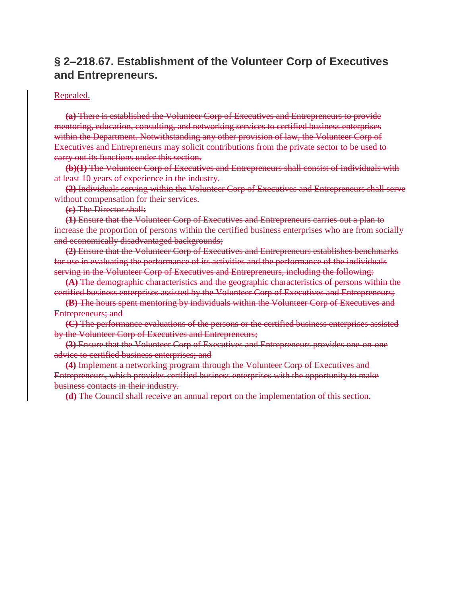### **§ 2–218.67. Establishment of the Volunteer Corp of Executives and Entrepreneurs.**

#### Repealed.

**(a)** There is established the Volunteer Corp of Executives and Entrepreneurs to provide mentoring, education, consulting, and networking services to certified business enterprises within the Department. Notwithstanding any other provision of law, the Volunteer Corp of Executives and Entrepreneurs may solicit contributions from the private sector to be used to carry out its functions under this section.

**(b)(1)** The Volunteer Corp of Executives and Entrepreneurs shall consist of individuals with at least 10 years of experience in the industry.

**(2)** Individuals serving within the Volunteer Corp of Executives and Entrepreneurs shall serve without compensation for their services.

**(c)** The Director shall:

**(1)** Ensure that the Volunteer Corp of Executives and Entrepreneurs carries out a plan to increase the proportion of persons within the certified business enterprises who are from socially and economically disadvantaged backgrounds;

**(2)** Ensure that the Volunteer Corp of Executives and Entrepreneurs establishes benchmarks for use in evaluating the performance of its activities and the performance of the individuals serving in the Volunteer Corp of Executives and Entrepreneurs, including the following:

**(A)** The demographic characteristics and the geographic characteristics of persons within the certified business enterprises assisted by the Volunteer Corp of Executives and Entrepreneurs;

**(B)** The hours spent mentoring by individuals within the Volunteer Corp of Executives and Entrepreneurs; and

**(C)** The performance evaluations of the persons or the certified business enterprises assisted by the Volunteer Corp of Executives and Entrepreneurs;

**(3)** Ensure that the Volunteer Corp of Executives and Entrepreneurs provides one-on-one advice to certified business enterprises; and

**(4)** Implement a networking program through the Volunteer Corp of Executives and Entrepreneurs, which provides certified business enterprises with the opportunity to make business contacts in their industry.

**(d)** The Council shall receive an annual report on the implementation of this section.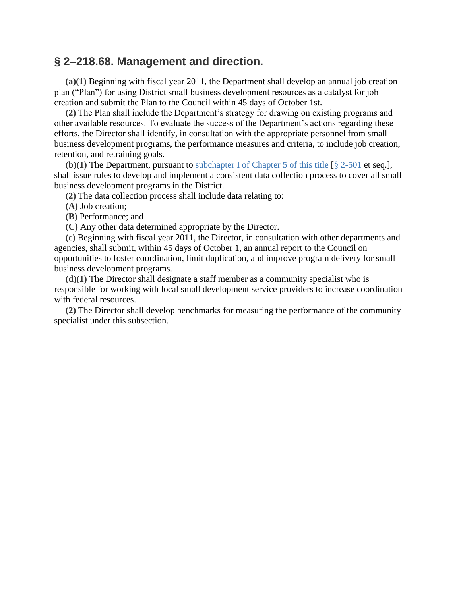#### **§ 2–218.68. Management and direction.**

**(a)(1)** Beginning with fiscal year 2011, the Department shall develop an annual job creation plan ("Plan") for using District small business development resources as a catalyst for job creation and submit the Plan to the Council within 45 days of October 1st.

**(2)** The Plan shall include the Department's strategy for drawing on existing programs and other available resources. To evaluate the success of the Department's actions regarding these efforts, the Director shall identify, in consultation with the appropriate personnel from small business development programs, the performance measures and criteria, to include job creation, retention, and retraining goals.

**(b)(1)** The Department, pursuant to [subchapter](https://code.dccouncil.us/dc/council/code/titles/2/chapters/5/subchapters/I/) I of Chapter 5 of this title [§ [2-501](https://code.dccouncil.us/dc/council/code/sections/2-501.html) et seq.], shall issue rules to develop and implement a consistent data collection process to cover all small business development programs in the District.

**(2)** The data collection process shall include data relating to:

**(A)** Job creation;

**(B)** Performance; and

**(C)** Any other data determined appropriate by the Director.

**(c)** Beginning with fiscal year 2011, the Director, in consultation with other departments and agencies, shall submit, within 45 days of October 1, an annual report to the Council on opportunities to foster coordination, limit duplication, and improve program delivery for small business development programs.

**(d)(1)** The Director shall designate a staff member as a community specialist who is responsible for working with local small development service providers to increase coordination with federal resources.

**(2)** The Director shall develop benchmarks for measuring the performance of the community specialist under this subsection.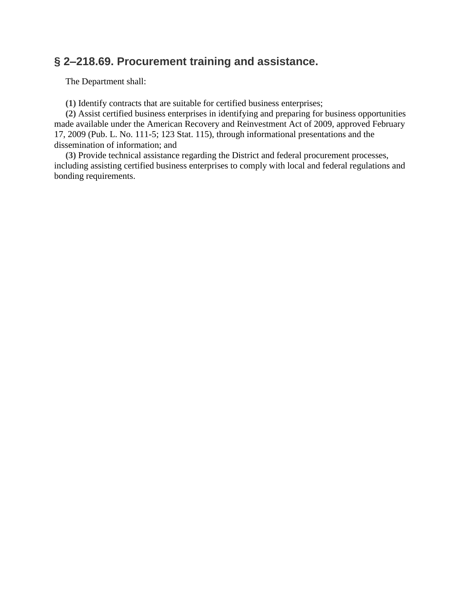### **§ 2–218.69. Procurement training and assistance.**

The Department shall:

**(1)** Identify contracts that are suitable for certified business enterprises;

**(2)** Assist certified business enterprises in identifying and preparing for business opportunities made available under the American Recovery and Reinvestment Act of 2009, approved February 17, 2009 (Pub. L. No. 111-5; 123 Stat. 115), through informational presentations and the dissemination of information; and

**(3)** Provide technical assistance regarding the District and federal procurement processes, including assisting certified business enterprises to comply with local and federal regulations and bonding requirements.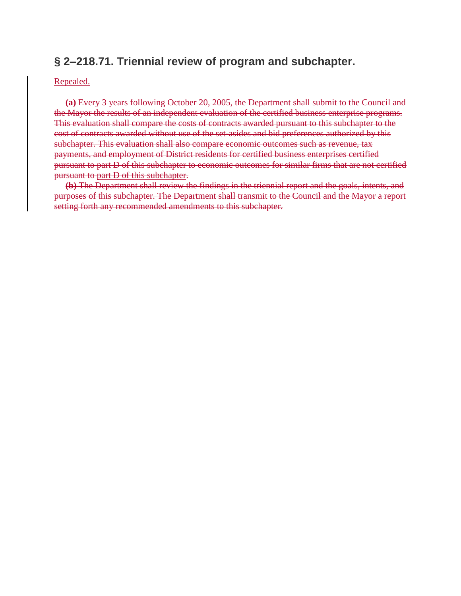### **§ 2–218.71. Triennial review of program and subchapter.**

Repealed.

**(a)** Every 3 years following October 20, 2005, the Department shall submit to the Council and the Mayor the results of an independent evaluation of the certified business enterprise programs. This evaluation shall compare the costs of contracts awarded pursuant to this subchapter to the cost of contracts awarded without use of the set-asides and bid preferences authorized by this subchapter. This evaluation shall also compare economic outcomes such as revenue, tax payments, and employment of District residents for certified business enterprises certified pursuant to part D of this subchapter to economic outcomes for similar firms that are not certified pursuant to part D of this subchapter.

**(b)** The Department shall review the findings in the triennial report and the goals, intents, and purposes of this subchapter. The Department shall transmit to the Council and the Mayor a report setting forth any recommended amendments to this subchapter.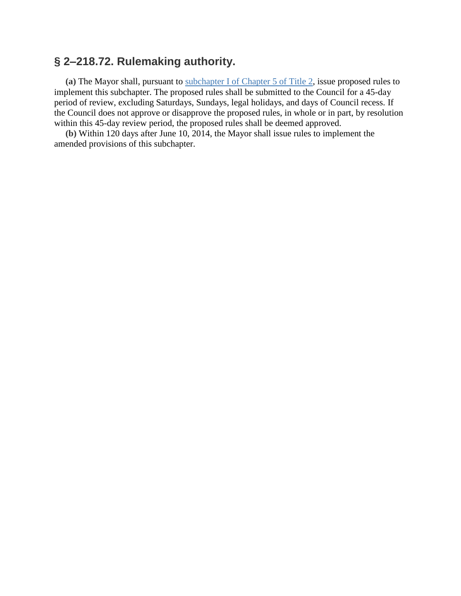### **§ 2–218.72. Rulemaking authority.**

**(a)** The Mayor shall, pursuant to [subchapter](https://code.dccouncil.us/dc/council/code/titles/2/chapters/5/subchapters/I/) I of Chapter 5 of Title 2, issue proposed rules to implement this subchapter. The proposed rules shall be submitted to the Council for a 45-day period of review, excluding Saturdays, Sundays, legal holidays, and days of Council recess. If the Council does not approve or disapprove the proposed rules, in whole or in part, by resolution within this 45-day review period, the proposed rules shall be deemed approved.

**(b)** Within 120 days after June 10, 2014, the Mayor shall issue rules to implement the amended provisions of this subchapter.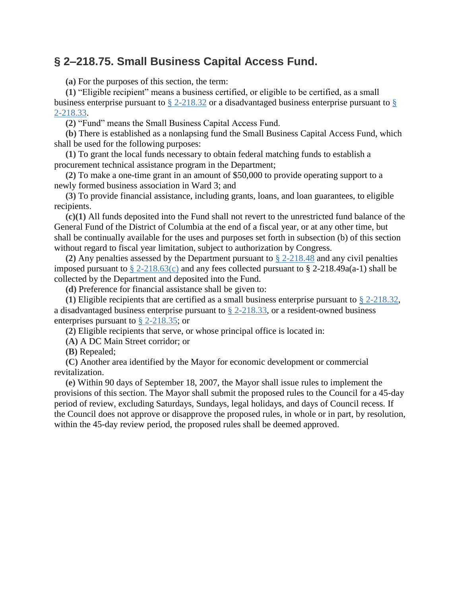### **§ 2–218.75. Small Business Capital Access Fund.**

**(a)** For the purposes of this section, the term:

**(1)** "Eligible recipient" means a business certified, or eligible to be certified, as a small business enterprise pursuant to § [2-218.32](https://code.dccouncil.us/dc/council/code/sections/2-218.32.html) or a disadvantaged business enterprise pursuant to [§](https://code.dccouncil.us/dc/council/code/sections/2-218.33.html) [2-218.33.](https://code.dccouncil.us/dc/council/code/sections/2-218.33.html)

**(2)** "Fund" means the Small Business Capital Access Fund.

**(b)** There is established as a nonlapsing fund the Small Business Capital Access Fund, which shall be used for the following purposes:

**(1)** To grant the local funds necessary to obtain federal matching funds to establish a procurement technical assistance program in the Department;

**(2)** To make a one-time grant in an amount of \$50,000 to provide operating support to a newly formed business association in Ward 3; and

**(3)** To provide financial assistance, including grants, loans, and loan guarantees, to eligible recipients.

**(c)(1)** All funds deposited into the Fund shall not revert to the unrestricted fund balance of the General Fund of the District of Columbia at the end of a fiscal year, or at any other time, but shall be continually available for the uses and purposes set forth in subsection (b) of this section without regard to fiscal year limitation, subject to authorization by Congress.

**(2)** Any penalties assessed by the Department pursuant to § [2-218.48](https://code.dccouncil.us/dc/council/code/sections/2-218.48.html) and any civil penalties imposed pursuant to  $\S 2-218.63(c)$  $\S 2-218.63(c)$  and any fees collected pursuant to  $\S 2-218.49a(a-1)$  shall be collected by the Department and deposited into the Fund.

**(d)** Preference for financial assistance shall be given to:

**(1)** Eligible recipients that are certified as a small business enterprise pursuant to § [2-218.32,](https://code.dccouncil.us/dc/council/code/sections/2-218.32.html) a disadvantaged business enterprise pursuant to  $\S$  [2-218.33,](https://code.dccouncil.us/dc/council/code/sections/2-218.33.html) or a resident-owned business enterprises pursuant to § [2-218.35;](https://code.dccouncil.us/dc/council/code/sections/2-218.35.html) or

**(2)** Eligible recipients that serve, or whose principal office is located in:

**(A)** A DC Main Street corridor; or

**(B)** Repealed;

**(C)** Another area identified by the Mayor for economic development or commercial revitalization.

**(e)** Within 90 days of September 18, 2007, the Mayor shall issue rules to implement the provisions of this section. The Mayor shall submit the proposed rules to the Council for a 45-day period of review, excluding Saturdays, Sundays, legal holidays, and days of Council recess. If the Council does not approve or disapprove the proposed rules, in whole or in part, by resolution, within the 45-day review period, the proposed rules shall be deemed approved.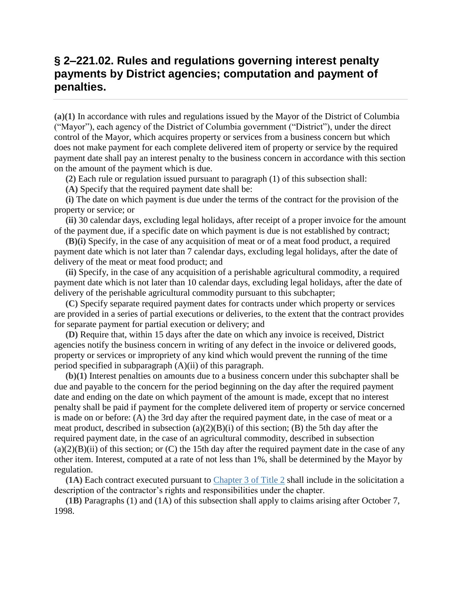### **§ 2–221.02. Rules and regulations governing interest penalty payments by District agencies; computation and payment of penalties.**

**(a)(1)** In accordance with rules and regulations issued by the Mayor of the District of Columbia ("Mayor"), each agency of the District of Columbia government ("District"), under the direct control of the Mayor, which acquires property or services from a business concern but which does not make payment for each complete delivered item of property or service by the required payment date shall pay an interest penalty to the business concern in accordance with this section on the amount of the payment which is due.

**(2)** Each rule or regulation issued pursuant to paragraph (1) of this subsection shall:

**(A)** Specify that the required payment date shall be:

**(i)** The date on which payment is due under the terms of the contract for the provision of the property or service; or

**(ii)** 30 calendar days, excluding legal holidays, after receipt of a proper invoice for the amount of the payment due, if a specific date on which payment is due is not established by contract;

**(B)(i)** Specify, in the case of any acquisition of meat or of a meat food product, a required payment date which is not later than 7 calendar days, excluding legal holidays, after the date of delivery of the meat or meat food product; and

**(ii)** Specify, in the case of any acquisition of a perishable agricultural commodity, a required payment date which is not later than 10 calendar days, excluding legal holidays, after the date of delivery of the perishable agricultural commodity pursuant to this subchapter;

**(C)** Specify separate required payment dates for contracts under which property or services are provided in a series of partial executions or deliveries, to the extent that the contract provides for separate payment for partial execution or delivery; and

**(D)** Require that, within 15 days after the date on which any invoice is received, District agencies notify the business concern in writing of any defect in the invoice or delivered goods, property or services or impropriety of any kind which would prevent the running of the time period specified in subparagraph (A)(ii) of this paragraph.

**(b)(1)** Interest penalties on amounts due to a business concern under this subchapter shall be due and payable to the concern for the period beginning on the day after the required payment date and ending on the date on which payment of the amount is made, except that no interest penalty shall be paid if payment for the complete delivered item of property or service concerned is made on or before: (A) the 3rd day after the required payment date, in the case of meat or a meat product, described in subsection  $(a)(2)(B)(i)$  of this section; (B) the 5th day after the required payment date, in the case of an agricultural commodity, described in subsection  $(a)(2)(B)(ii)$  of this section; or  $(C)$  the 15th day after the required payment date in the case of any other item. Interest, computed at a rate of not less than 1%, shall be determined by the Mayor by regulation.

**(1A)** Each contract executed pursuant to [Chapter](https://code.dccouncil.us/dc/council/code/titles/2/chapters/3/) 3 of Title 2 shall include in the solicitation a description of the contractor's rights and responsibilities under the chapter.

**(1B)** Paragraphs (1) and (1A) of this subsection shall apply to claims arising after October 7, 1998.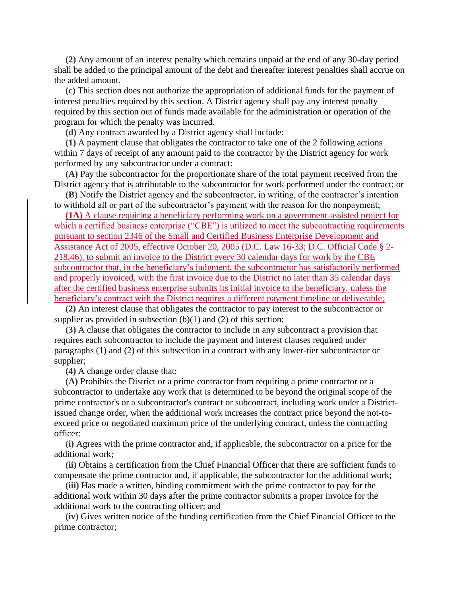**(2)** Any amount of an interest penalty which remains unpaid at the end of any 30-day period shall be added to the principal amount of the debt and thereafter interest penalties shall accrue on the added amount.

**(c)** This section does not authorize the appropriation of additional funds for the payment of interest penalties required by this section. A District agency shall pay any interest penalty required by this section out of funds made available for the administration or operation of the program for which the penalty was incurred.

**(d)** Any contract awarded by a District agency shall include:

**(1)** A payment clause that obligates the contractor to take one of the 2 following actions within 7 days of receipt of any amount paid to the contractor by the District agency for work performed by any subcontractor under a contract:

**(A)** Pay the subcontractor for the proportionate share of the total payment received from the District agency that is attributable to the subcontractor for work performed under the contract; or

**(B)** Notify the District agency and the subcontractor, in writing, of the contractor's intention to withhold all or part of the subcontractor's payment with the reason for the nonpayment;

**(1A)** A clause requiring a beneficiary performing work on a government-assisted project for which a certified business enterprise ("CBE") is utilized to meet the subcontracting requirements pursuant to section 2346 of the Small and Certified Business Enterprise Development and Assistance Act of 2005, effective October 20, 2005 (D.C. Law 16-33; D.C. Official Code § 2- 218.46), to submit an invoice to the District every 30 calendar days for work by the CBE subcontractor that, in the beneficiary's judgment, the subcontractor has satisfactorily performed and properly invoiced, with the first invoice due to the District no later than 35 calendar days after the certified business enterprise submits its initial invoice to the beneficiary, unless the beneficiary's contract with the District requires a different payment timeline or deliverable;

**(2)** An interest clause that obligates the contractor to pay interest to the subcontractor or supplier as provided in subsection  $(b)(1)$  and  $(2)$  of this section;

**(3)** A clause that obligates the contractor to include in any subcontract a provision that requires each subcontractor to include the payment and interest clauses required under paragraphs (1) and (2) of this subsection in a contract with any lower-tier subcontractor or supplier;

**(4)** A change order clause that:

**(A)** Prohibits the District or a prime contractor from requiring a prime contractor or a subcontractor to undertake any work that is determined to be beyond the original scope of the prime contractor's or a subcontractor's contract or subcontract, including work under a Districtissued change order, when the additional work increases the contract price beyond the not-toexceed price or negotiated maximum price of the underlying contract, unless the contracting officer:

**(i)** Agrees with the prime contractor and, if applicable, the subcontractor on a price for the additional work;

**(ii)** Obtains a certification from the Chief Financial Officer that there are sufficient funds to compensate the prime contractor and, if applicable, the subcontractor for the additional work;

**(iii)** Has made a written, binding commitment with the prime contractor to pay for the additional work within 30 days after the prime contractor submits a proper invoice for the additional work to the contracting officer; and

**(iv)** Gives written notice of the funding certification from the Chief Financial Officer to the prime contractor;